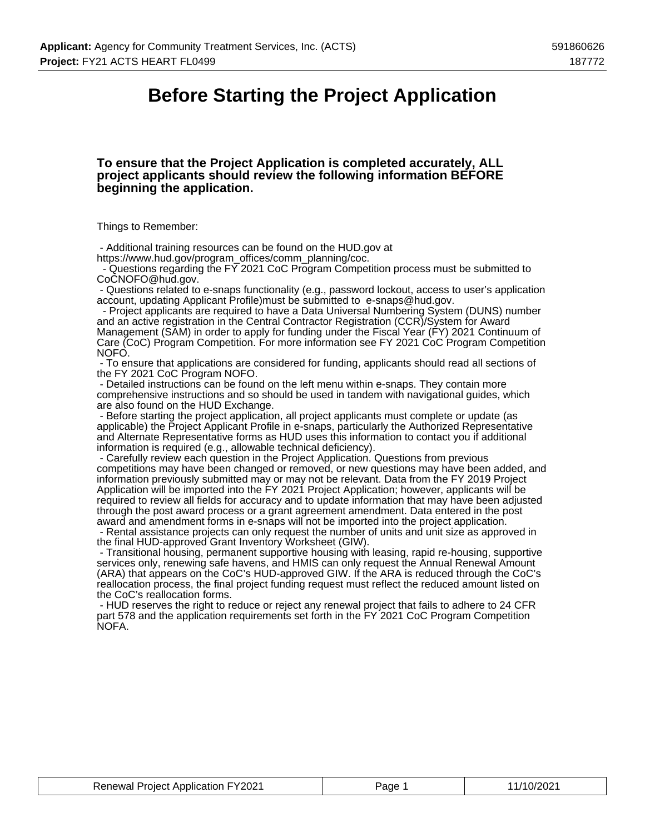### **Before Starting the Project Application**

#### **To ensure that the Project Application is completed accurately, ALL project applicants should review the following information BEFORE beginning the application.**

Things to Remember:

 - Additional training resources can be found on the HUD.gov at https://www.hud.gov/program\_offices/comm\_planning/coc.

 - Questions regarding the FY 2021 CoC Program Competition process must be submitted to CoCNOFO@hud.gov.

 - Questions related to e-snaps functionality (e.g., password lockout, access to user's application account, updating Applicant Profile)must be submitted to e-snaps@hud.gov.

 - Project applicants are required to have a Data Universal Numbering System (DUNS) number and an active registration in the Central Contractor Registration (CCR)/System for Award Management (SAM) in order to apply for funding under the Fiscal Year (FY) 2021 Continuum of Care (CoC) Program Competition. For more information see FY 2021 CoC Program Competition NOFO.

 - To ensure that applications are considered for funding, applicants should read all sections of the FY 2021 CoC Program NOFO.

 - Detailed instructions can be found on the left menu within e-snaps. They contain more comprehensive instructions and so should be used in tandem with navigational guides, which are also found on the HUD Exchange.

 - Before starting the project application, all project applicants must complete or update (as applicable) the Project Applicant Profile in e-snaps, particularly the Authorized Representative and Alternate Representative forms as HUD uses this information to contact you if additional information is required (e.g., allowable technical deficiency).

 - Carefully review each question in the Project Application. Questions from previous competitions may have been changed or removed, or new questions may have been added, and information previously submitted may or may not be relevant. Data from the FY 2019 Project Application will be imported into the FY 2021 Project Application; however, applicants will be required to review all fields for accuracy and to update information that may have been adjusted through the post award process or a grant agreement amendment. Data entered in the post award and amendment forms in e-snaps will not be imported into the project application.

 - Rental assistance projects can only request the number of units and unit size as approved in the final HUD-approved Grant Inventory Worksheet (GIW).

 - Transitional housing, permanent supportive housing with leasing, rapid re-housing, supportive services only, renewing safe havens, and HMIS can only request the Annual Renewal Amount (ARA) that appears on the CoC's HUD-approved GIW. If the ARA is reduced through the CoC's reallocation process, the final project funding request must reflect the reduced amount listed on the CoC's reallocation forms.

 - HUD reserves the right to reduce or reject any renewal project that fails to adhere to 24 CFR part 578 and the application requirements set forth in the FY 2021 CoC Program Competition NOFA.

| <b>Renewal Project Application FY2021</b> | Page 1 | 11/10/2021 |
|-------------------------------------------|--------|------------|
|-------------------------------------------|--------|------------|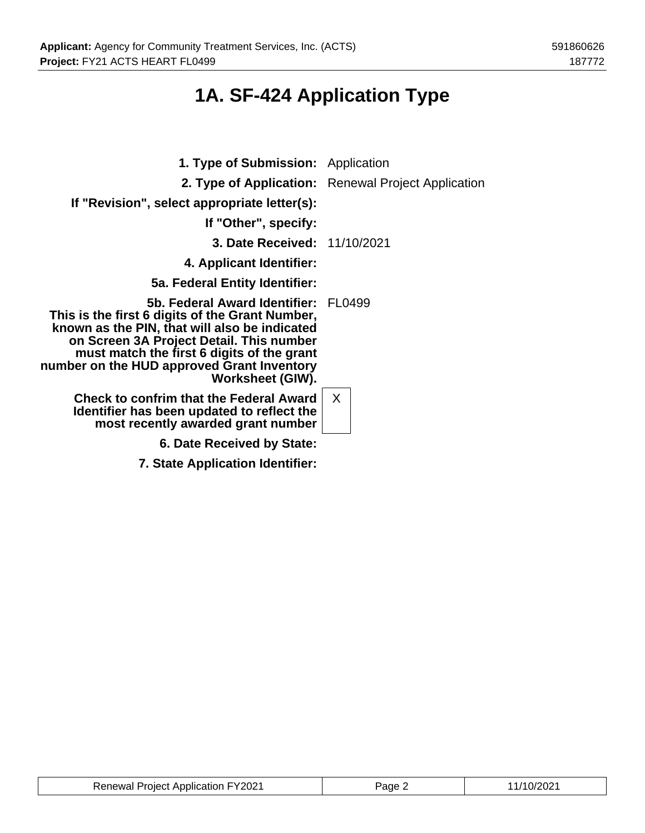# **1A. SF-424 Application Type**

| <b>1. Type of Submission:</b> Application                                                                                                                                                                                                                                                            |                                                     |
|------------------------------------------------------------------------------------------------------------------------------------------------------------------------------------------------------------------------------------------------------------------------------------------------------|-----------------------------------------------------|
|                                                                                                                                                                                                                                                                                                      | 2. Type of Application: Renewal Project Application |
| If "Revision", select appropriate letter(s):                                                                                                                                                                                                                                                         |                                                     |
| If "Other", specify:                                                                                                                                                                                                                                                                                 |                                                     |
| <b>3. Date Received: 11/10/2021</b>                                                                                                                                                                                                                                                                  |                                                     |
| 4. Applicant Identifier:                                                                                                                                                                                                                                                                             |                                                     |
| 5a. Federal Entity Identifier:                                                                                                                                                                                                                                                                       |                                                     |
| 5b. Federal Award Identifier: FL0499<br>This is the first 6 digits of the Grant Number,<br>known as the PIN, that will also be indicated<br>on Screen 3A Project Detail. This number<br>must match the first 6 digits of the grant<br>number on the HUD approved Grant Inventory<br>Worksheet (GIW). |                                                     |
| <b>Check to confrim that the Federal Award</b><br>Identifier has been updated to reflect the<br>most recently awarded grant number                                                                                                                                                                   | $\mathsf{X}$                                        |
| 6. Date Received by State:                                                                                                                                                                                                                                                                           |                                                     |
| 7. State Application Identifier:                                                                                                                                                                                                                                                                     |                                                     |

| <b>Renewal Project Application FY2021</b> | Page 2 | 11/10/2021 |
|-------------------------------------------|--------|------------|
|-------------------------------------------|--------|------------|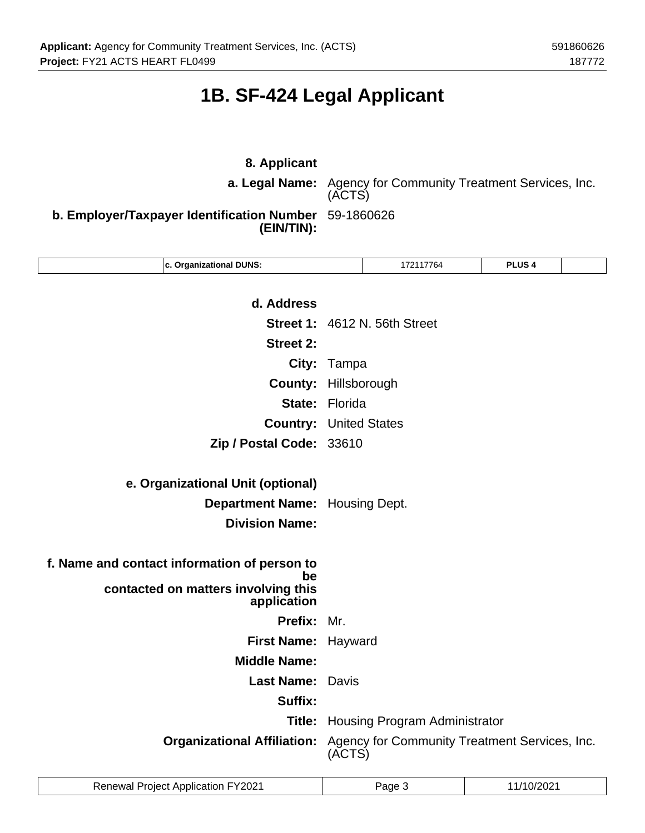# **1B. SF-424 Legal Applicant**

### **8. Applicant a. Legal Name:** Agency for Community Treatment Services, Inc. (ACTS) **b. Employer/Taxpayer Identification Number** 59-1860626 **(EIN/TIN):**

| c. Organizational DUNS:                            |                       | 172117764                                     | <b>PLUS 4</b> |  |
|----------------------------------------------------|-----------------------|-----------------------------------------------|---------------|--|
|                                                    |                       |                                               |               |  |
| d. Address                                         |                       |                                               |               |  |
|                                                    |                       | <b>Street 1: 4612 N. 56th Street</b>          |               |  |
| <b>Street 2:</b>                                   |                       |                                               |               |  |
| City:                                              | Tampa                 |                                               |               |  |
| <b>County: Hillsborough</b>                        |                       |                                               |               |  |
|                                                    | <b>State: Florida</b> |                                               |               |  |
| <b>Country: United States</b>                      |                       |                                               |               |  |
| Zip / Postal Code: 33610                           |                       |                                               |               |  |
|                                                    |                       |                                               |               |  |
| e. Organizational Unit (optional)                  |                       |                                               |               |  |
| <b>Department Name:</b> Housing Dept.              |                       |                                               |               |  |
| <b>Division Name:</b>                              |                       |                                               |               |  |
|                                                    |                       |                                               |               |  |
| f. Name and contact information of person to<br>be |                       |                                               |               |  |
| contacted on matters involving this<br>application |                       |                                               |               |  |
| Prefix: Mr.                                        |                       |                                               |               |  |
| First Name: Hayward                                |                       |                                               |               |  |
| <b>Middle Name:</b>                                |                       |                                               |               |  |
| <b>Last Name: Davis</b>                            |                       |                                               |               |  |
| Suffix:                                            |                       |                                               |               |  |
|                                                    |                       | <b>Title:</b> Housing Program Administrator   |               |  |
| <b>Organizational Affiliation:</b>                 | (ACTS)                | Agency for Community Treatment Services, Inc. |               |  |
|                                                    |                       |                                               |               |  |

| <b>Renewal Project Application FY2021</b> | Page | l/10/2021 |
|-------------------------------------------|------|-----------|
|-------------------------------------------|------|-----------|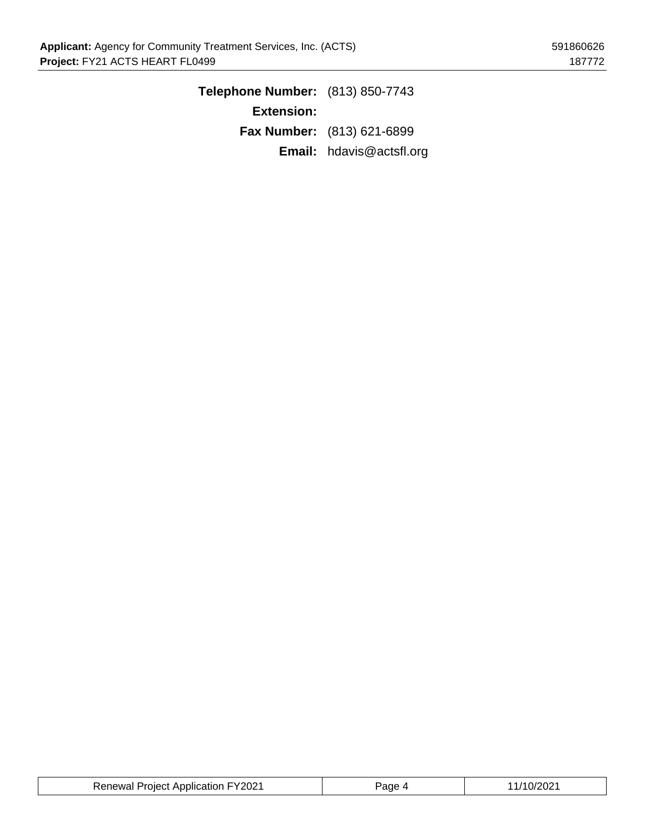| <b>Telephone Number:</b> (813) 850-7743 |                                   |
|-----------------------------------------|-----------------------------------|
| <b>Extension:</b>                       |                                   |
|                                         | <b>Fax Number:</b> (813) 621-6899 |
|                                         | <b>Email:</b> hdavis@actsfl.org   |

| <b>Renewal Project Application FY2021</b> | Page | 11/10/2021 |
|-------------------------------------------|------|------------|
|-------------------------------------------|------|------------|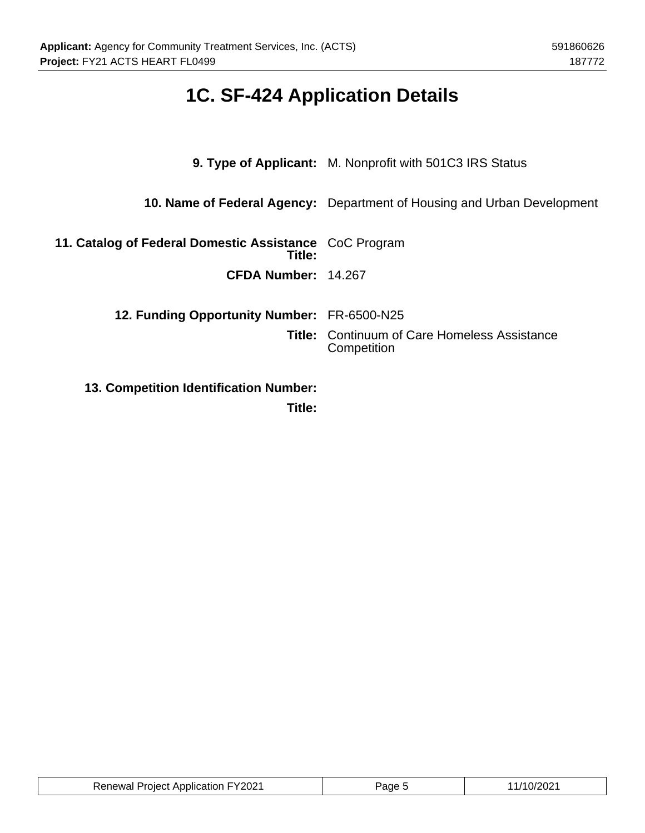# **1C. SF-424 Application Details**

|                                                                  | 9. Type of Applicant: M. Nonprofit with 501C3 IRS Status                |
|------------------------------------------------------------------|-------------------------------------------------------------------------|
|                                                                  | 10. Name of Federal Agency: Department of Housing and Urban Development |
| 11. Catalog of Federal Domestic Assistance CoC Program<br>Title: |                                                                         |
| CFDA Number: 14.267                                              |                                                                         |
| 12. Funding Opportunity Number: FR-6500-N25                      |                                                                         |
|                                                                  | <b>Title: Continuum of Care Homeless Assistance</b><br>Competition      |
| <b>13. Competition Identification Number:</b>                    |                                                                         |

**Title:**

| <b>Renewal Project Application FY2021</b> | ane' | ____ |
|-------------------------------------------|------|------|
|-------------------------------------------|------|------|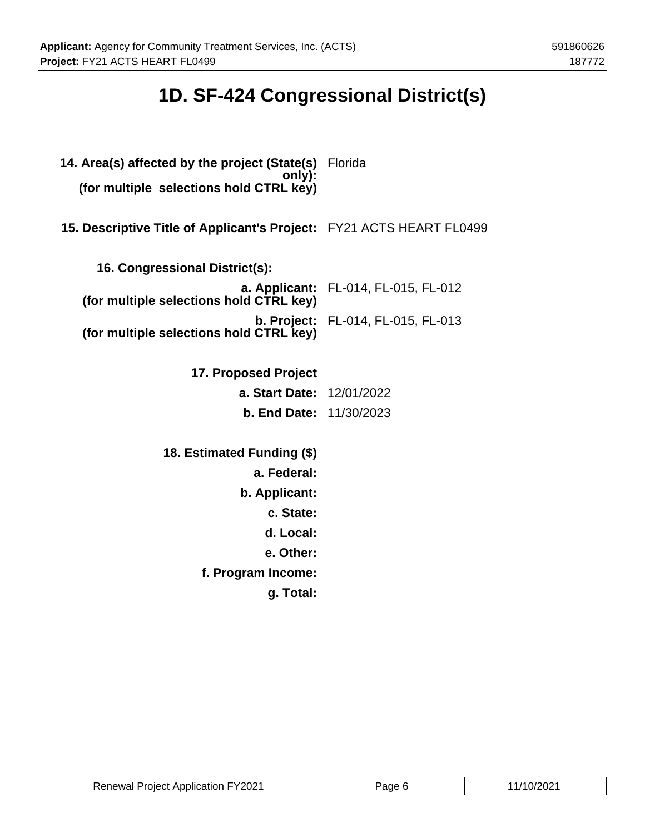# **1D. SF-424 Congressional District(s)**

| 14. Area(s) affected by the project (State(s)<br>Florida             |
|----------------------------------------------------------------------|
| 15. Descriptive Title of Applicant's Project: FY21 ACTS HEART FL0499 |
|                                                                      |
| a. Applicant: FL-014, FL-015, FL-012                                 |
| <b>b. Project:</b> FL-014, FL-015, FL-013                            |
|                                                                      |
| a. Start Date: 12/01/2022                                            |
| <b>b. End Date: 11/30/2023</b>                                       |
|                                                                      |
|                                                                      |
|                                                                      |
|                                                                      |
|                                                                      |
|                                                                      |
|                                                                      |
|                                                                      |
|                                                                      |

| <b>Renewal Project Application FY2021</b> | Page P | 11/10/2021 |
|-------------------------------------------|--------|------------|
|-------------------------------------------|--------|------------|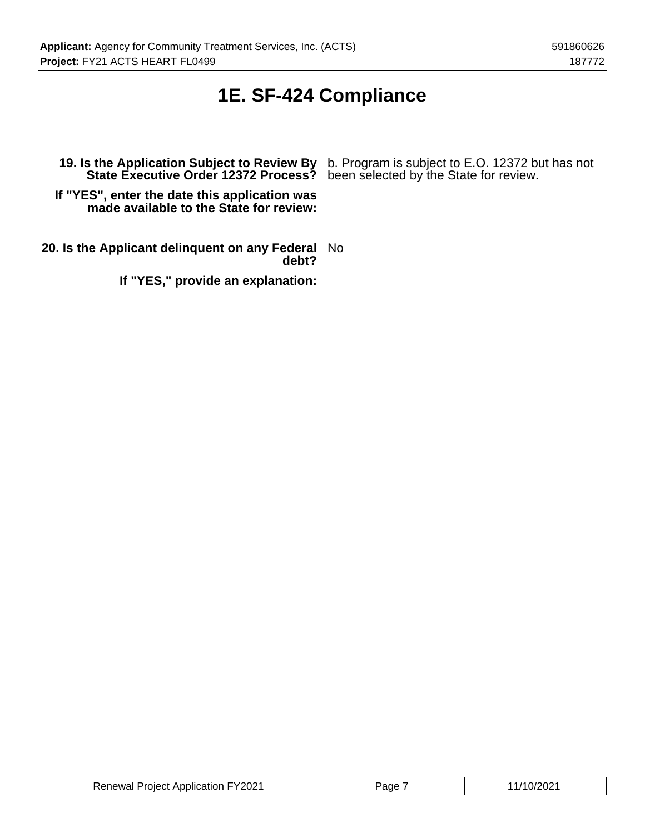### **1E. SF-424 Compliance**

**State Executive Order 12372 Process?** been selected by the State for review.

**19. Is the Application Subject to Review By** b. Program is subject to E.O. 12372 but has not

**If "YES", enter the date this application was made available to the State for review:**

**20. Is the Applicant delinquent on any Federal** No **debt?**

**If "YES," provide an explanation:**

| <b>Renewal Project Application FY2021</b> | aae | 10/2021 |
|-------------------------------------------|-----|---------|
|-------------------------------------------|-----|---------|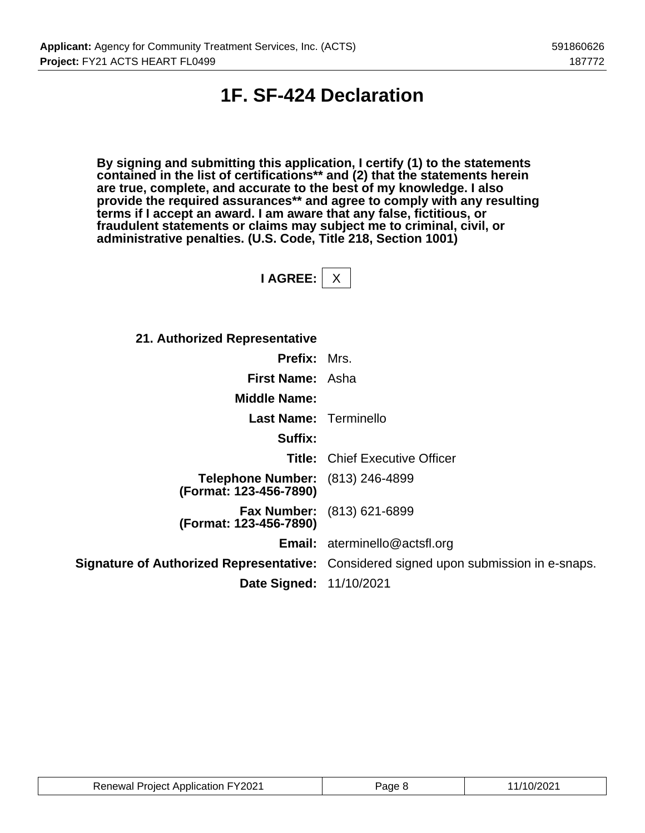### **1F. SF-424 Declaration**

**By signing and submitting this application, I certify (1) to the statements contained in the list of certifications\*\* and (2) that the statements herein are true, complete, and accurate to the best of my knowledge. I also provide the required assurances\*\* and agree to comply with any resulting terms if I accept an award. I am aware that any false, fictitious, or fraudulent statements or claims may subject me to criminal, civil, or administrative penalties. (U.S. Code, Title 218, Section 1001)**

**I AGREE:** X

**21. Authorized Representative**

| <b>Prefix: Mrs.</b>                                               |                                                                                              |
|-------------------------------------------------------------------|----------------------------------------------------------------------------------------------|
| First Name: Asha                                                  |                                                                                              |
| <b>Middle Name:</b>                                               |                                                                                              |
| <b>Last Name: Terminello</b>                                      |                                                                                              |
| Suffix:                                                           |                                                                                              |
|                                                                   | <b>Title: Chief Executive Officer</b>                                                        |
| <b>Telephone Number:</b> (813) 246-4899<br>(Format: 123-456-7890) |                                                                                              |
| (Format: 123-456-7890)                                            | <b>Fax Number:</b> (813) 621-6899                                                            |
|                                                                   | <b>Email:</b> aterminello@actsfl.org                                                         |
|                                                                   | <b>Signature of Authorized Representative:</b> Considered signed upon submission in e-snaps. |
| <b>Date Signed: 11/10/2021</b>                                    |                                                                                              |

| <b>Renewal Project Application FY2021</b> | Page 8 | 11/10/2021 |
|-------------------------------------------|--------|------------|
|-------------------------------------------|--------|------------|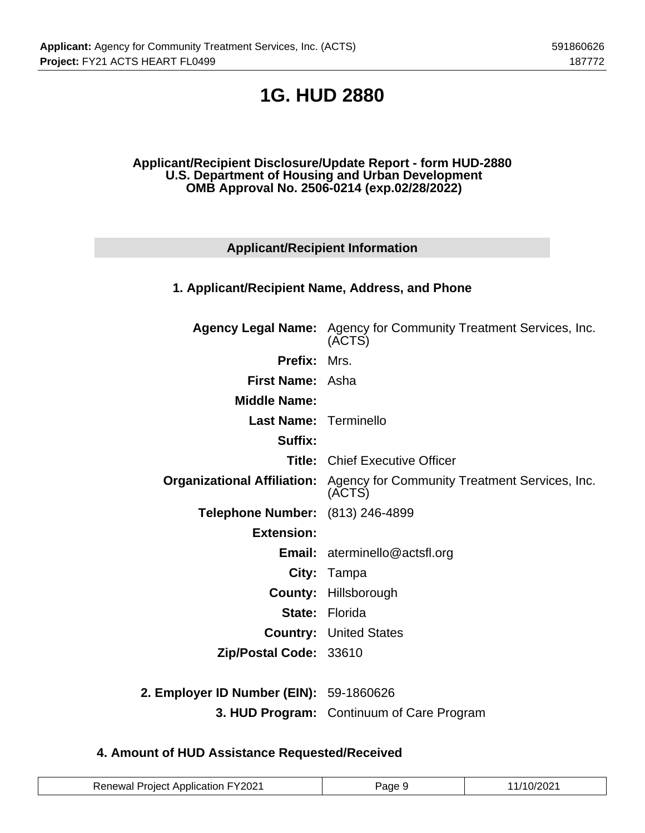## **1G. HUD 2880**

#### **Applicant/Recipient Disclosure/Update Report - form HUD-2880 U.S. Department of Housing and Urban Development OMB Approval No. 2506-0214 (exp.02/28/2022)**

### **Applicant/Recipient Information**

### **1. Applicant/Recipient Name, Address, and Phone**

|                                         | Agency Legal Name: Agency for Community Treatment Services, Inc.<br>(ACTS)                 |
|-----------------------------------------|--------------------------------------------------------------------------------------------|
| <b>Prefix: Mrs.</b>                     |                                                                                            |
| First Name: Asha                        |                                                                                            |
| <b>Middle Name:</b>                     |                                                                                            |
| <b>Last Name: Terminello</b>            |                                                                                            |
| Suffix:                                 |                                                                                            |
|                                         | <b>Title: Chief Executive Officer</b>                                                      |
|                                         | <b>Organizational Affiliation:</b> Agency for Community Treatment Services, Inc.<br>(ACTS) |
| Telephone Number: (813) 246-4899        |                                                                                            |
| <b>Extension:</b>                       |                                                                                            |
|                                         | <b>Email:</b> aterminello@actsfl.org                                                       |
|                                         | City: Tampa                                                                                |
|                                         | <b>County: Hillsborough</b>                                                                |
|                                         | <b>State: Florida</b>                                                                      |
|                                         | <b>Country: United States</b>                                                              |
| Zip/Postal Code: 33610                  |                                                                                            |
|                                         |                                                                                            |
| 2. Employer ID Number (EIN): 59-1860626 |                                                                                            |
|                                         | 3. HUD Program: Continuum of Care Program                                                  |

### **4. Amount of HUD Assistance Requested/Received**

| Renewal Project Application FY2021 | Page . |  |
|------------------------------------|--------|--|
|------------------------------------|--------|--|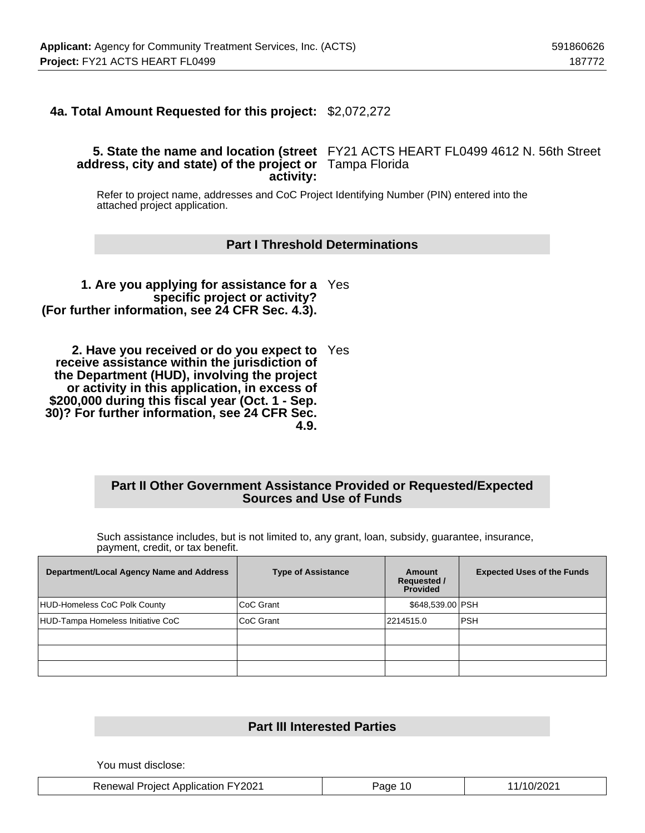### **4a. Total Amount Requested for this project:** \$2,072,272

#### **5. State the name and location (street** FY21 ACTS HEART FL0499 4612 N. 56th Street **address, city and state) of the project or** Tampa Florida **activity:**

Refer to project name, addresses and CoC Project Identifying Number (PIN) entered into the attached project application.

#### **Part I Threshold Determinations**

**1. Are you applying for assistance for a** Yes **specific project or activity? (For further information, see 24 CFR Sec. 4.3).**

**2. Have you received or do you expect to** Yes **receive assistance within the jurisdiction of the Department (HUD), involving the project or activity in this application, in excess of \$200,000 during this fiscal year (Oct. 1 - Sep. 30)? For further information, see 24 CFR Sec. 4.9.**

#### **Part II Other Government Assistance Provided or Requested/Expected Sources and Use of Funds**

Such assistance includes, but is not limited to, any grant, loan, subsidy, guarantee, insurance, payment, credit, or tax benefit.

| Department/Local Agency Name and Address | <b>Type of Assistance</b> | Amount<br><b>Requested /<br/>Provided</b> | <b>Expected Uses of the Funds</b> |
|------------------------------------------|---------------------------|-------------------------------------------|-----------------------------------|
| HUD-Homeless CoC Polk County             | CoC Grant                 | \$648,539.00 PSH                          |                                   |
| HUD-Tampa Homeless Initiative CoC        | CoC Grant                 | 2214515.0                                 | <b>PSH</b>                        |
|                                          |                           |                                           |                                   |
|                                          |                           |                                           |                                   |
|                                          |                           |                                           |                                   |

#### **Part III Interested Parties**

You must disclose:

| <b>Renewal Project Application FY2021</b> | Page 10 | 11/10/2021 |
|-------------------------------------------|---------|------------|
|-------------------------------------------|---------|------------|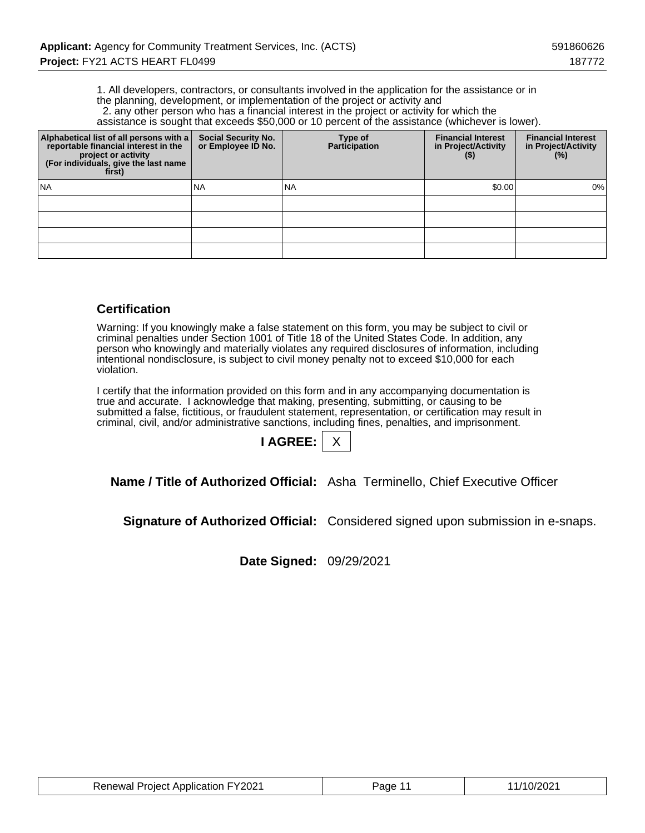1. All developers, contractors, or consultants involved in the application for the assistance or in the planning, development, or implementation of the project or activity and

2. any other person who has a financial interest in the project or activity for which the

assistance is sought that exceeds \$50,000 or 10 percent of the assistance (whichever is lower).

| Alphabetical list of all persons with a<br>reportable financial interest in the<br>project or activity<br>(For individuals, give the last name<br>first) | <b>Social Security No.</b><br>or Employee ID No. | Type of<br><b>Participation</b> | <b>Financial Interest</b><br>in Project/Activity<br>$($ \$) | <b>Financial Interest</b><br>in Project/Activity<br>(%) |
|----------------------------------------------------------------------------------------------------------------------------------------------------------|--------------------------------------------------|---------------------------------|-------------------------------------------------------------|---------------------------------------------------------|
| NA                                                                                                                                                       | <b>NA</b>                                        | <b>NA</b>                       | \$0.00                                                      | 0%                                                      |
|                                                                                                                                                          |                                                  |                                 |                                                             |                                                         |
|                                                                                                                                                          |                                                  |                                 |                                                             |                                                         |
|                                                                                                                                                          |                                                  |                                 |                                                             |                                                         |
|                                                                                                                                                          |                                                  |                                 |                                                             |                                                         |

#### **Certification**

Warning: If you knowingly make a false statement on this form, you may be subject to civil or criminal penalties under Section 1001 of Title 18 of the United States Code. In addition, any person who knowingly and materially violates any required disclosures of information, including intentional nondisclosure, is subject to civil money penalty not to exceed \$10,000 for each violation.

I certify that the information provided on this form and in any accompanying documentation is true and accurate. I acknowledge that making, presenting, submitting, or causing to be submitted a false, fictitious, or fraudulent statement, representation, or certification may result in criminal, civil, and/or administrative sanctions, including fines, penalties, and imprisonment.



**Name / Title of Authorized Official:** Asha Terminello, Chief Executive Officer

**Signature of Authorized Official:** Considered signed upon submission in e-snaps.

**Date Signed:** 09/29/2021

| <b>Renewal Project Application FY2021</b> | Page 11 | 11/10/2021 |
|-------------------------------------------|---------|------------|
|-------------------------------------------|---------|------------|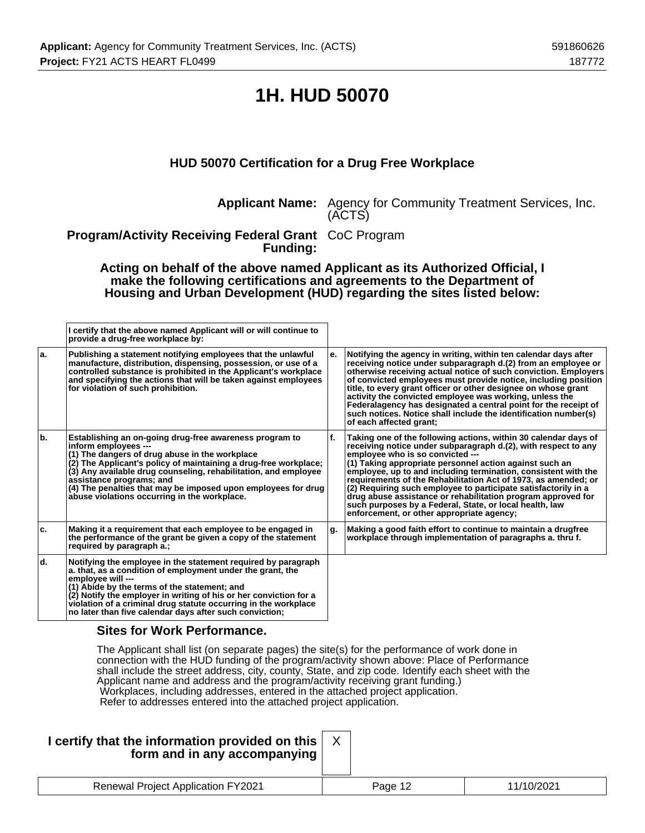## **1H. HUD 50070**

### **HUD 50070 Certification for a Drug Free Workplace**

**Applicant Name:** Agency for Community Treatment Services, Inc. (ACTS)

**Program/Activity Receiving Federal Grant** CoC Program **Funding:**

**Acting on behalf of the above named Applicant as its Authorized Official, I make the following certifications and agreements to the Department of Housing and Urban Development (HUD) regarding the sites listed below:**

|     | I certify that the above named Applicant will or will continue to<br>provide a drug-free workplace by:                                                                                                                                                                                                                                                                                                                |    |                                                                                                                                                                                                                                                                                                                                                                                                                                                                                                                                                                                                                |
|-----|-----------------------------------------------------------------------------------------------------------------------------------------------------------------------------------------------------------------------------------------------------------------------------------------------------------------------------------------------------------------------------------------------------------------------|----|----------------------------------------------------------------------------------------------------------------------------------------------------------------------------------------------------------------------------------------------------------------------------------------------------------------------------------------------------------------------------------------------------------------------------------------------------------------------------------------------------------------------------------------------------------------------------------------------------------------|
| la. | Publishing a statement notifying employees that the unlawful<br>manufacture, distribution, dispensing, possession, or use of a<br>controlled substance is prohibited in the Applicant's workplace<br>and specifying the actions that will be taken against employees<br>for violation of such prohibition.                                                                                                            | е. | Notifying the agency in writing, within ten calendar days after<br>receiving notice under subparagraph d.(2) from an employee or<br>otherwise receiving actual notice of such conviction. Employers<br>of convicted employees must provide notice, including position<br>title, to every grant officer or other designee on whose grant<br>activity the convicted employee was working, unless the<br>Federalagency has designated a central point for the receipt of<br>such notices. Notice shall include the identification number(s)<br>of each affected grant;                                            |
| lb. | Establishing an on-going drug-free awareness program to<br>inform employees ---<br>(1) The dangers of drug abuse in the workplace<br>(2) The Applicant's policy of maintaining a drug-free workplace;<br>(3) Any available drug counseling, rehabilitation, and employee<br>assistance programs; and<br>(4) The penalties that may be imposed upon employees for drug<br>abuse violations occurring in the workplace. | f. | Taking one of the following actions, within 30 calendar days of<br>receiving notice under subparagraph d.(2), with respect to any<br>employee who is so convicted ---<br>(1) Taking appropriate personnel action against such an<br>employee, up to and including termination, consistent with the<br>requirements of the Rehabilitation Act of 1973, as amended; or<br>(2) Requiring such employee to participate satisfactorily in a<br>drug abuse assistance or rehabilitation program approved for<br>such purposes by a Federal, State, or local health, law<br>enforcement, or other appropriate agency; |
| ∣c. | Making it a requirement that each employee to be engaged in<br>the performance of the grant be given a copy of the statement<br>required by paragraph a.;                                                                                                                                                                                                                                                             | g. | Making a good faith effort to continue to maintain a drugfree<br>workplace through implementation of paragraphs a. thru f.                                                                                                                                                                                                                                                                                                                                                                                                                                                                                     |
| ۱d. | Notifying the employee in the statement required by paragraph<br>a. that, as a condition of employment under the grant, the<br>employee will ---<br>(1) Abide by the terms of the statement; and<br>(2) Notify the employer in writing of his or her conviction for a<br>violation of a criminal drug statute occurring in the workplace<br>no later than five calendar days after such conviction;                   |    |                                                                                                                                                                                                                                                                                                                                                                                                                                                                                                                                                                                                                |

#### **Sites for Work Performance.**

The Applicant shall list (on separate pages) the site(s) for the performance of work done in connection with the HUD funding of the program/activity shown above: Place of Performance shall include the street address, city, county, State, and zip code. Identify each sheet with the Applicant name and address and the program/activity receiving grant funding.) Workplaces, including addresses, entered in the attached project application. Refer to addresses entered into the attached project application.

| I certify that the information provided on this  <br>form and in any accompanying |         |            |
|-----------------------------------------------------------------------------------|---------|------------|
| <b>Renewal Project Application FY2021</b>                                         | Page 12 | 11/10/2021 |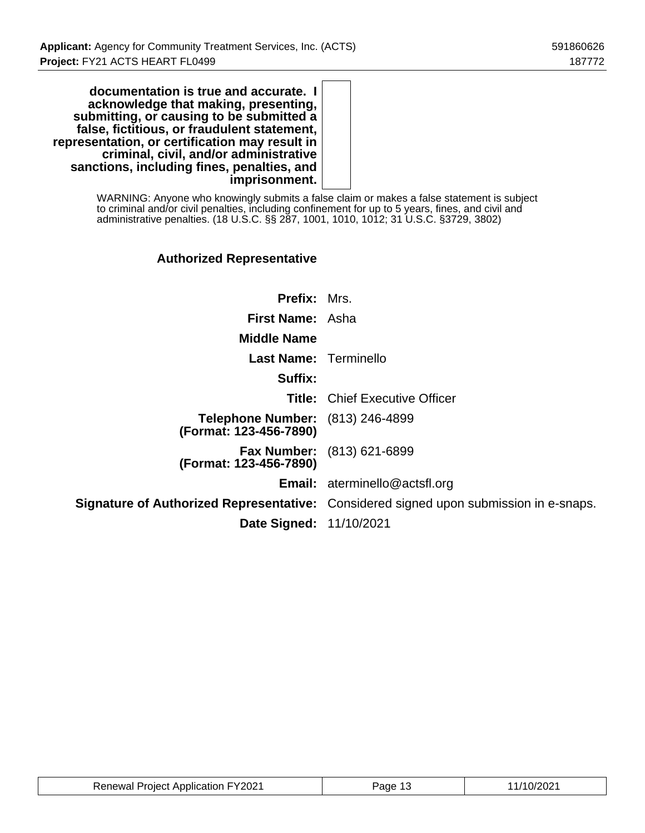**documentation is true and accurate. I acknowledge that making, presenting, submitting, or causing to be submitted a false, fictitious, or fraudulent statement, representation, or certification may result in criminal, civil, and/or administrative sanctions, including fines, penalties, and imprisonment.**

> WARNING: Anyone who knowingly submits a false claim or makes a false statement is subject to criminal and/or civil penalties, including confinement for up to 5 years, fines, and civil and administrative penalties. (18 U.S.C. §§ 287, 1001, 1010, 1012; 31 U.S.C. §3729, 3802)

#### **Authorized Representative**

| Prefix: Mrs.                                                      |                                                                                       |
|-------------------------------------------------------------------|---------------------------------------------------------------------------------------|
| First Name: Asha                                                  |                                                                                       |
| <b>Middle Name</b>                                                |                                                                                       |
| <b>Last Name: Terminello</b>                                      |                                                                                       |
| Suffix:                                                           |                                                                                       |
|                                                                   | <b>Title: Chief Executive Officer</b>                                                 |
| <b>Telephone Number:</b> (813) 246-4899<br>(Format: 123-456-7890) |                                                                                       |
| (Format: 123-456-7890)                                            | <b>Fax Number:</b> (813) 621-6899                                                     |
|                                                                   | <b>Email:</b> aterminello@actsfl.org                                                  |
|                                                                   | Signature of Authorized Representative: Considered signed upon submission in e-snaps. |
| <b>Date Signed: 11/10/2021</b>                                    |                                                                                       |

| <b>Renewal Project Application FY2021</b> | Page 13 | 11/10/2021 |
|-------------------------------------------|---------|------------|
|-------------------------------------------|---------|------------|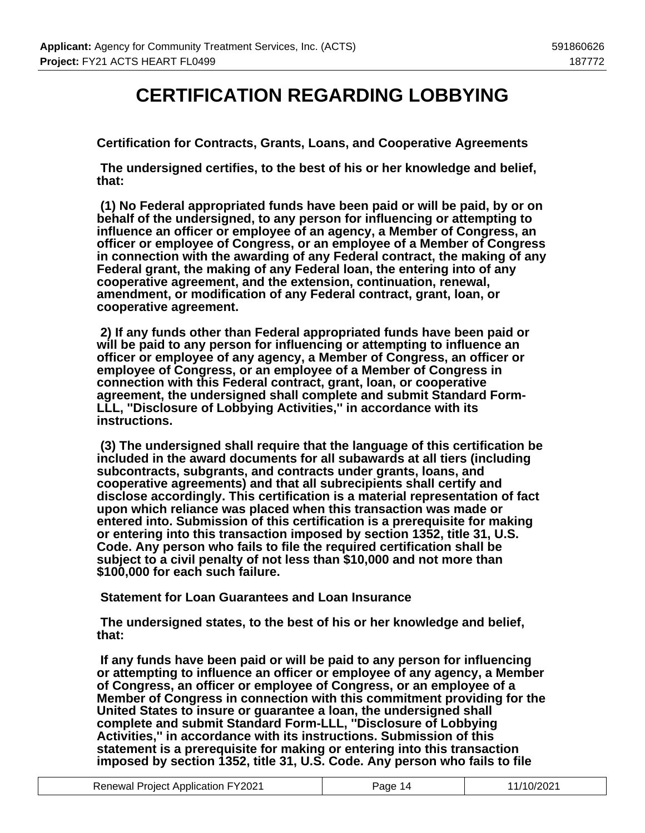### **CERTIFICATION REGARDING LOBBYING**

**Certification for Contracts, Grants, Loans, and Cooperative Agreements**

 **The undersigned certifies, to the best of his or her knowledge and belief, that:**

 **(1) No Federal appropriated funds have been paid or will be paid, by or on behalf of the undersigned, to any person for influencing or attempting to influence an officer or employee of an agency, a Member of Congress, an officer or employee of Congress, or an employee of a Member of Congress in connection with the awarding of any Federal contract, the making of any Federal grant, the making of any Federal loan, the entering into of any cooperative agreement, and the extension, continuation, renewal, amendment, or modification of any Federal contract, grant, loan, or cooperative agreement.**

 **2) If any funds other than Federal appropriated funds have been paid or will be paid to any person for influencing or attempting to influence an officer or employee of any agency, a Member of Congress, an officer or employee of Congress, or an employee of a Member of Congress in connection with this Federal contract, grant, loan, or cooperative agreement, the undersigned shall complete and submit Standard Form-LLL, ''Disclosure of Lobbying Activities,'' in accordance with its instructions.**

 **(3) The undersigned shall require that the language of this certification be included in the award documents for all subawards at all tiers (including subcontracts, subgrants, and contracts under grants, loans, and cooperative agreements) and that all subrecipients shall certify and disclose accordingly. This certification is a material representation of fact upon which reliance was placed when this transaction was made or entered into. Submission of this certification is a prerequisite for making or entering into this transaction imposed by section 1352, title 31, U.S. Code. Any person who fails to file the required certification shall be subject to a civil penalty of not less than \$10,000 and not more than \$100,000 for each such failure.**

 **Statement for Loan Guarantees and Loan Insurance**

 **The undersigned states, to the best of his or her knowledge and belief, that:**

 **If any funds have been paid or will be paid to any person for influencing or attempting to influence an officer or employee of any agency, a Member of Congress, an officer or employee of Congress, or an employee of a Member of Congress in connection with this commitment providing for the United States to insure or guarantee a loan, the undersigned shall complete and submit Standard Form-LLL, ''Disclosure of Lobbying Activities,'' in accordance with its instructions. Submission of this statement is a prerequisite for making or entering into this transaction imposed by section 1352, title 31, U.S. Code. Any person who fails to file**

| <b>Renewal Project Application FY2021</b> | Page 14 | 11/10/2021 |
|-------------------------------------------|---------|------------|
|-------------------------------------------|---------|------------|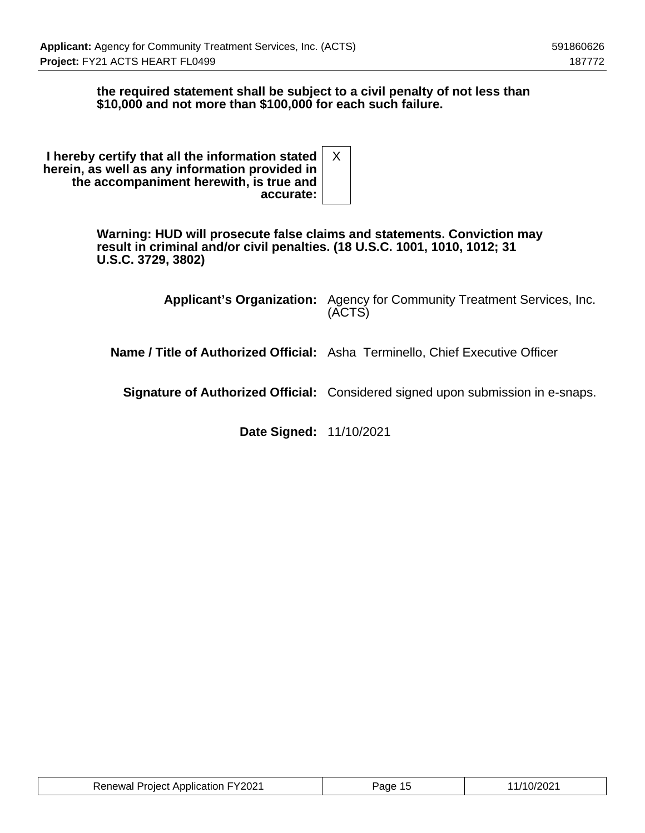#### **the required statement shall be subject to a civil penalty of not less than \$10,000 and not more than \$100,000 for each such failure.**

| I hereby certify that all the information stated<br>herein, as well as any information provided in<br>the accompaniment herewith, is true and |  |
|-----------------------------------------------------------------------------------------------------------------------------------------------|--|
| accurate:                                                                                                                                     |  |

**Warning: HUD will prosecute false claims and statements. Conviction may result in criminal and/or civil penalties. (18 U.S.C. 1001, 1010, 1012; 31 U.S.C. 3729, 3802)**

| Applicant's Organization: Agency for Community Treatment Services, Inc.<br>(ACTS)    |
|--------------------------------------------------------------------------------------|
| <b>Name / Title of Authorized Official:</b> Asha Terminello, Chief Executive Officer |
| Signature of Authorized Official: Considered signed upon submission in e-snaps.      |

**Date Signed:** 11/10/2021

| <b>Renewal Project Application FY2021</b> | Page 15 | 11/10/2021 |
|-------------------------------------------|---------|------------|
|-------------------------------------------|---------|------------|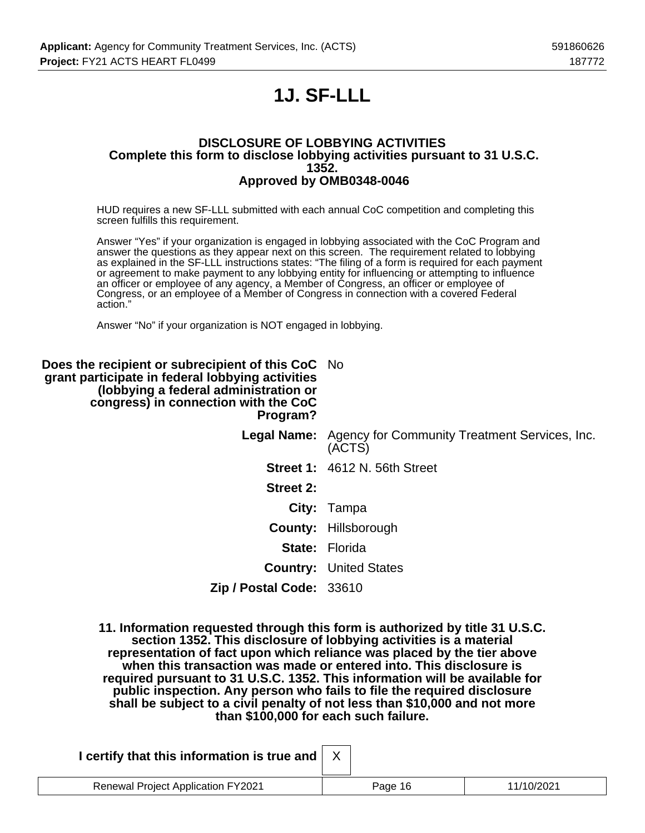# **1J. SF-LLL**

#### **DISCLOSURE OF LOBBYING ACTIVITIES Complete this form to disclose lobbying activities pursuant to 31 U.S.C. 1352. Approved by OMB0348-0046**

HUD requires a new SF-LLL submitted with each annual CoC competition and completing this screen fulfills this requirement.

Answer "Yes" if your organization is engaged in lobbying associated with the CoC Program and answer the questions as they appear next on this screen. The requirement related to lobbying as explained in the SF-LLL instructions states: "The filing of a form is required for each payment or agreement to make payment to any lobbying entity for influencing or attempting to influence an officer or employee of any agency, a Member of Congress, an officer or employee of Congress, or an employee of a Member of Congress in connection with a covered Federal action."

Answer "No" if your organization is NOT engaged in lobbying.

| Does the recipient or subrecipient of this CoC No<br>grant participate in federal lobbying activities<br>(lobbying a federal administration or<br>congress) in connection with the CoC<br>Program? |                                                                            |
|----------------------------------------------------------------------------------------------------------------------------------------------------------------------------------------------------|----------------------------------------------------------------------------|
|                                                                                                                                                                                                    | <b>Legal Name:</b> Agency for Community Treatment Services, Inc.<br>(ACTS) |
|                                                                                                                                                                                                    | <b>Street 1: 4612 N. 56th Street</b>                                       |
| <b>Street 2:</b>                                                                                                                                                                                   |                                                                            |
|                                                                                                                                                                                                    | City: Tampa                                                                |
|                                                                                                                                                                                                    | <b>County: Hillsborough</b>                                                |
|                                                                                                                                                                                                    | <b>State: Florida</b>                                                      |
|                                                                                                                                                                                                    | <b>Country: United States</b>                                              |
| Zip / Postal Code: 33610                                                                                                                                                                           |                                                                            |
|                                                                                                                                                                                                    |                                                                            |

**11. Information requested through this form is authorized by title 31 U.S.C. section 1352. This disclosure of lobbying activities is a material representation of fact upon which reliance was placed by the tier above when this transaction was made or entered into. This disclosure is required pursuant to 31 U.S.C. 1352. This information will be available for public inspection. Any person who fails to file the required disclosure shall be subject to a civil penalty of not less than \$10,000 and not more than \$100,000 for each such failure.**

| I certify that this information is true and |         |            |
|---------------------------------------------|---------|------------|
| <b>Renewal Project Application FY2021</b>   | Page 16 | 11/10/2021 |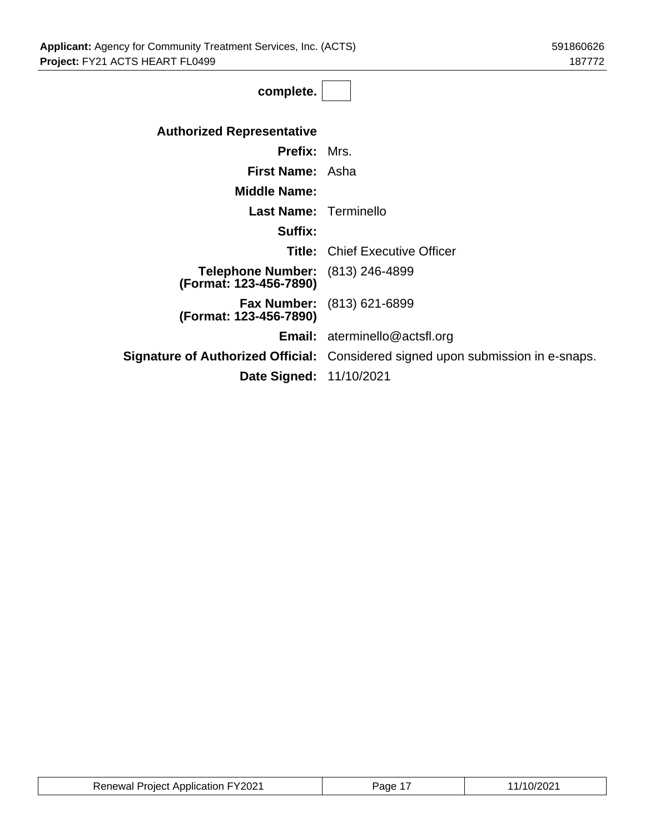| complete.                                                         |                                                                                 |
|-------------------------------------------------------------------|---------------------------------------------------------------------------------|
| <b>Authorized Representative</b>                                  |                                                                                 |
| <b>Prefix: Mrs.</b>                                               |                                                                                 |
| First Name: Asha                                                  |                                                                                 |
| <b>Middle Name:</b>                                               |                                                                                 |
| Last Name: Terminello                                             |                                                                                 |
| Suffix:                                                           |                                                                                 |
|                                                                   | <b>Title:</b> Chief Executive Officer                                           |
| <b>Telephone Number:</b> (813) 246-4899<br>(Format: 123-456-7890) |                                                                                 |
| (Format: 123-456-7890)                                            | Fax Number: (813) 621-6899                                                      |
|                                                                   | <b>Email:</b> aterminello@actsfl.org                                            |
|                                                                   | Signature of Authorized Official: Considered signed upon submission in e-snaps. |
| <b>Date Signed: 11/10/2021</b>                                    |                                                                                 |

| <b>Renewal Project Application FY2021</b> | Page <sup>1-</sup> | 11/10/2021 |
|-------------------------------------------|--------------------|------------|
|-------------------------------------------|--------------------|------------|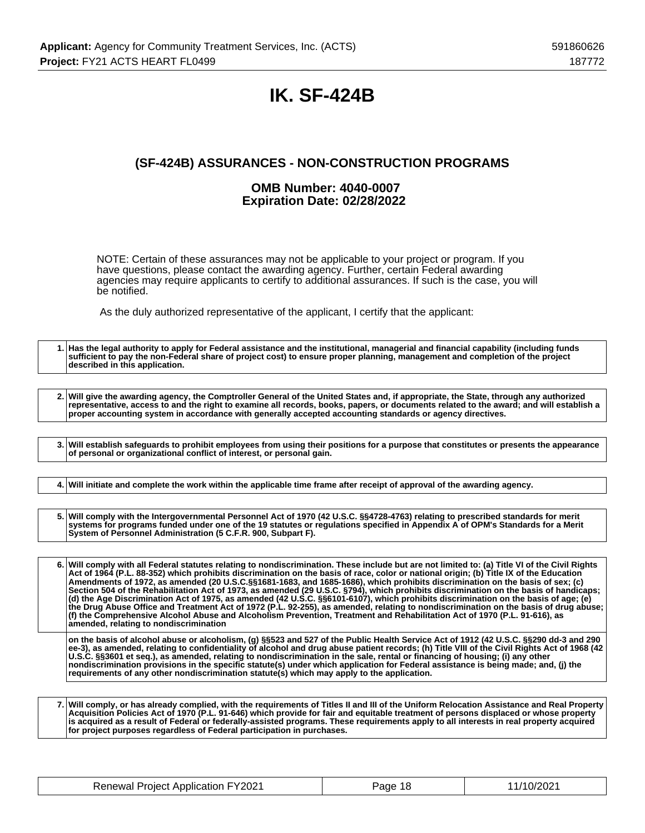### **IK. SF-424B**

### **(SF-424B) ASSURANCES - NON-CONSTRUCTION PROGRAMS**

#### **OMB Number: 4040-0007 Expiration Date: 02/28/2022**

NOTE: Certain of these assurances may not be applicable to your project or program. If you have questions, please contact the awarding agency. Further, certain Federal awarding agencies may require applicants to certify to additional assurances. If such is the case, you will be notified.

As the duly authorized representative of the applicant, I certify that the applicant:

**1. Has the legal authority to apply for Federal assistance and the institutional, managerial and financial capability (including funds sufficient to pay the non-Federal share of project cost) to ensure proper planning, management and completion of the project described in this application.**

**2. Will give the awarding agency, the Comptroller General of the United States and, if appropriate, the State, through any authorized representative, access to and the right to examine all records, books, papers, or documents related to the award; and will establish a proper accounting system in accordance with generally accepted accounting standards or agency directives.**

**3. Will establish safeguards to prohibit employees from using their positions for a purpose that constitutes or presents the appearance of personal or organizational conflict of interest, or personal gain.**

**4. Will initiate and complete the work within the applicable time frame after receipt of approval of the awarding agency.**

**5. Will comply with the Intergovernmental Personnel Act of 1970 (42 U.S.C. §§4728-4763) relating to prescribed standards for merit systems for programs funded under one of the 19 statutes or regulations specified in Appendix A of OPM's Standards for a Merit System of Personnel Administration (5 C.F.R. 900, Subpart F).**

**6. Will comply with all Federal statutes relating to nondiscrimination. These include but are not limited to: (a) Title VI of the Civil Rights Act of 1964 (P.L. 88-352) which prohibits discrimination on the basis of race, color or national origin; (b) Title IX of the Education Amendments of 1972, as amended (20 U.S.C.§§1681-1683, and 1685-1686), which prohibits discrimination on the basis of sex; (c) Section 504 of the Rehabilitation Act of 1973, as amended (29 U.S.C. §794), which prohibits discrimination on the basis of handicaps; (d) the Age Discrimination Act of 1975, as amended (42 U.S.C. §§6101-6107), which prohibits discrimination on the basis of age; (e) the Drug Abuse Office and Treatment Act of 1972 (P.L. 92-255), as amended, relating to nondiscrimination on the basis of drug abuse; (f) the Comprehensive Alcohol Abuse and Alcoholism Prevention, Treatment and Rehabilitation Act of 1970 (P.L. 91-616), as amended, relating to nondiscrimination**

**on the basis of alcohol abuse or alcoholism, (g) §§523 and 527 of the Public Health Service Act of 1912 (42 U.S.C. §§290 dd-3 and 290 ee-3), as amended, relating to confidentiality of alcohol and drug abuse patient records; (h) Title VIII of the Civil Rights Act of 1968 (42 U.S.C. §§3601 et seq.), as amended, relating to nondiscrimination in the sale, rental or financing of housing; (i) any other nondiscrimination provisions in the specific statute(s) under which application for Federal assistance is being made; and, (j) the requirements of any other nondiscrimination statute(s) which may apply to the application.**

**7. Will comply, or has already complied, with the requirements of Titles II and III of the Uniform Relocation Assistance and Real Property Acquisition Policies Act of 1970 (P.L. 91-646) which provide for fair and equitable treatment of persons displaced or whose property is acquired as a result of Federal or federally-assisted programs. These requirements apply to all interests in real property acquired for project purposes regardless of Federal participation in purchases.**

| <b>Renewal Project Application FY2021</b> | Page 18 | 11/10/2021 |
|-------------------------------------------|---------|------------|
|-------------------------------------------|---------|------------|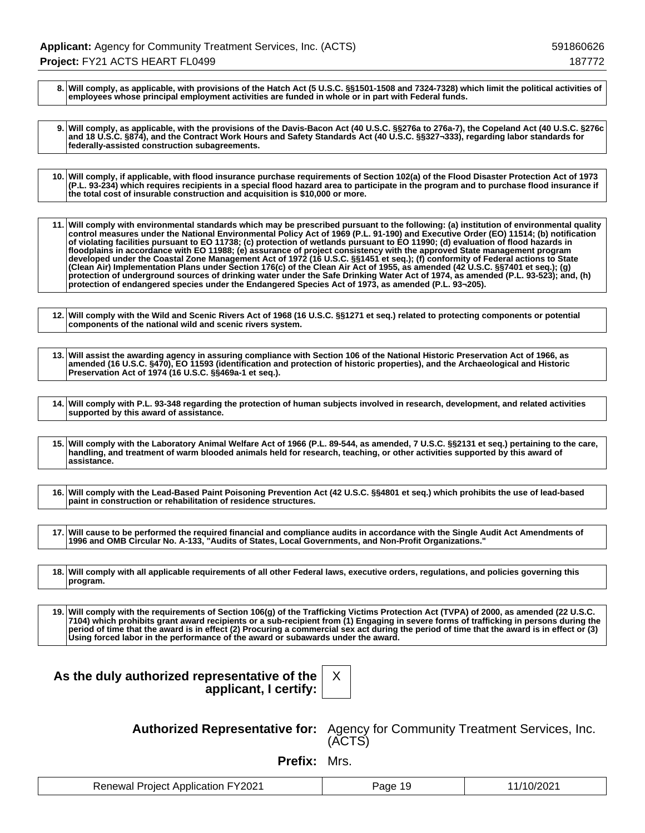**8. Will comply, as applicable, with provisions of the Hatch Act (5 U.S.C. §§1501-1508 and 7324-7328) which limit the political activities of employees whose principal employment activities are funded in whole or in part with Federal funds.**

**9. Will comply, as applicable, with the provisions of the Davis-Bacon Act (40 U.S.C. §§276a to 276a-7), the Copeland Act (40 U.S.C. §276c and 18 U.S.C. §874), and the Contract Work Hours and Safety Standards Act (40 U.S.C. §§327¬333), regarding labor standards for federally-assisted construction subagreements.**

**10. Will comply, if applicable, with flood insurance purchase requirements of Section 102(a) of the Flood Disaster Protection Act of 1973 (P.L. 93-234) which requires recipients in a special flood hazard area to participate in the program and to purchase flood insurance if the total cost of insurable construction and acquisition is \$10,000 or more.**

**11. Will comply with environmental standards which may be prescribed pursuant to the following: (a) institution of environmental quality control measures under the National Environmental Policy Act of 1969 (P.L. 91-190) and Executive Order (EO) 11514; (b) notification of violating facilities pursuant to EO 11738; (c) protection of wetlands pursuant to EO 11990; (d) evaluation of flood hazards in floodplains in accordance with EO 11988; (e) assurance of project consistency with the approved State management program developed under the Coastal Zone Management Act of 1972 (16 U.S.C. §§1451 et seq.); (f) conformity of Federal actions to State (Clean Air) Implementation Plans under Section 176(c) of the Clean Air Act of 1955, as amended (42 U.S.C. §§7401 et seq.); (g) protection of underground sources of drinking water under the Safe Drinking Water Act of 1974, as amended (P.L. 93-523); and, (h) protection of endangered species under the Endangered Species Act of 1973, as amended (P.L. 93¬205).**

**12. Will comply with the Wild and Scenic Rivers Act of 1968 (16 U.S.C. §§1271 et seq.) related to protecting components or potential components of the national wild and scenic rivers system.**

**13. Will assist the awarding agency in assuring compliance with Section 106 of the National Historic Preservation Act of 1966, as amended (16 U.S.C. §470), EO 11593 (identification and protection of historic properties), and the Archaeological and Historic Preservation Act of 1974 (16 U.S.C. §§469a-1 et seq.).**

**14. Will comply with P.L. 93-348 regarding the protection of human subjects involved in research, development, and related activities supported by this award of assistance.**

**15. Will comply with the Laboratory Animal Welfare Act of 1966 (P.L. 89-544, as amended, 7 U.S.C. §§2131 et seq.) pertaining to the care, handling, and treatment of warm blooded animals held for research, teaching, or other activities supported by this award of assistance.**

**16. Will comply with the Lead-Based Paint Poisoning Prevention Act (42 U.S.C. §§4801 et seq.) which prohibits the use of lead-based paint in construction or rehabilitation of residence structures.**

**17. Will cause to be performed the required financial and compliance audits in accordance with the Single Audit Act Amendments of 1996 and OMB Circular No. A-133, "Audits of States, Local Governments, and Non-Profit Organizations."**

**18. Will comply with all applicable requirements of all other Federal laws, executive orders, regulations, and policies governing this program.**

**19. Will comply with the requirements of Section 106(g) of the Trafficking Victims Protection Act (TVPA) of 2000, as amended (22 U.S.C. 7104) which prohibits grant award recipients or a sub-recipient from (1) Engaging in severe forms of trafficking in persons during the period of time that the award is in effect (2) Procuring a commercial sex act during the period of time that the award is in effect or (3) Using forced labor in the performance of the award or subawards under the award.**

| As the duly authorized representative of the $\vert$ X |  |
|--------------------------------------------------------|--|
| applicant, $l$ certify: $ $                            |  |

**Authorized Representative for:** 

| Agency for Community Treatment Services, Inc.<br>(ACTS) |
|---------------------------------------------------------|
|---------------------------------------------------------|

**Prefix:** Mrs.

| <b>Renewal Project Application FY2021</b> | Page 19 | /10/2021 |
|-------------------------------------------|---------|----------|
|-------------------------------------------|---------|----------|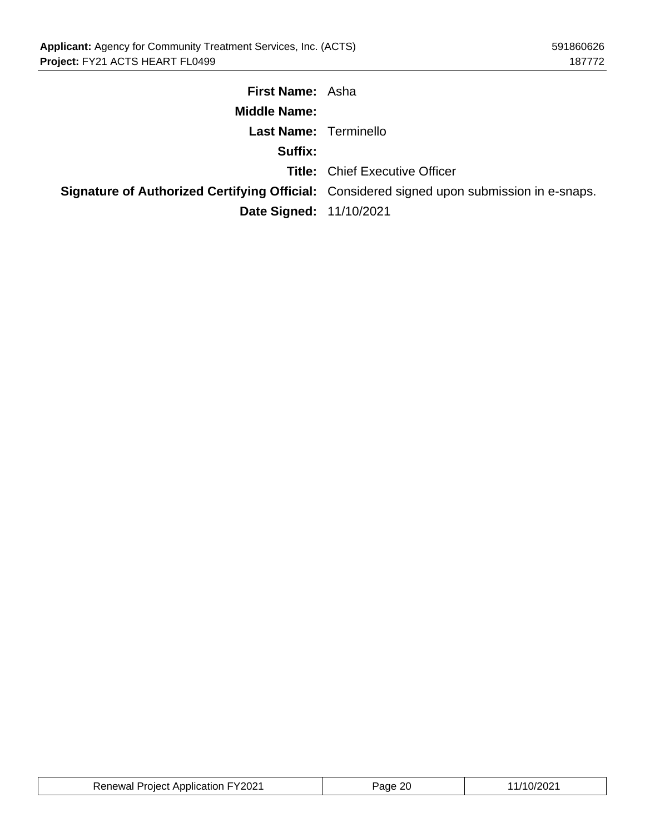| First Name: Asha             |                                                                                            |
|------------------------------|--------------------------------------------------------------------------------------------|
| <b>Middle Name:</b>          |                                                                                            |
| <b>Last Name: Terminello</b> |                                                                                            |
| Suffix:                      |                                                                                            |
|                              | <b>Title: Chief Executive Officer</b>                                                      |
|                              | Signature of Authorized Certifying Official: Considered signed upon submission in e-snaps. |
| Date Signed: 11/10/2021      |                                                                                            |

| <b>Renewal Project Application FY2021</b> | റ<br>'age | 0/2021 |
|-------------------------------------------|-----------|--------|
|-------------------------------------------|-----------|--------|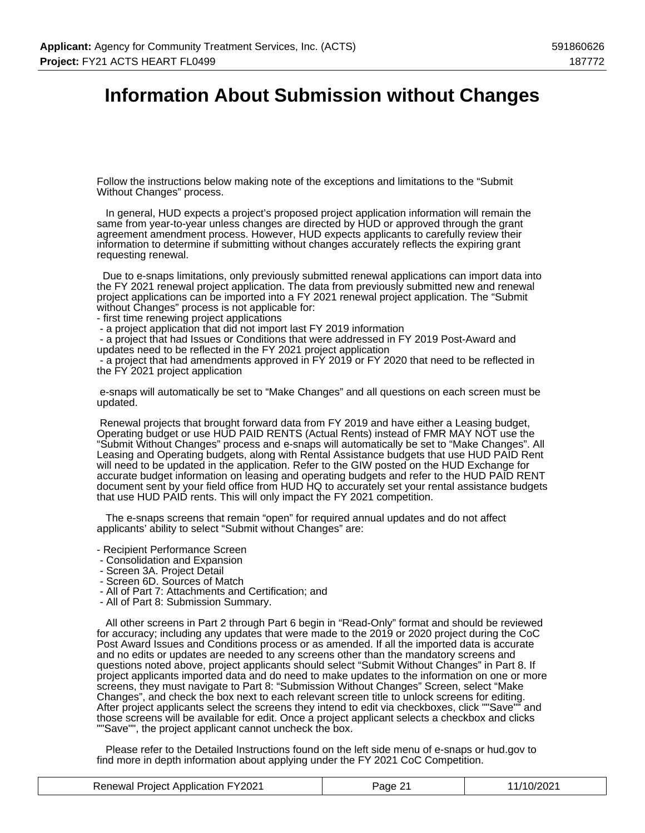### **Information About Submission without Changes**

Follow the instructions below making note of the exceptions and limitations to the "Submit Without Changes" process.

 In general, HUD expects a project's proposed project application information will remain the same from year-to-year unless changes are directed by HUD or approved through the grant agreement amendment process. However, HUD expects applicants to carefully review their information to determine if submitting without changes accurately reflects the expiring grant requesting renewal.

 Due to e-snaps limitations, only previously submitted renewal applications can import data into the FY 2021 renewal project application. The data from previously submitted new and renewal project applications can be imported into a FY 2021 renewal project application. The "Submit without Changes" process is not applicable for:

- first time renewing project applications
- a project application that did not import last FY 2019 information

 - a project that had Issues or Conditions that were addressed in FY 2019 Post-Award and updates need to be reflected in the FY 2021 project application

 - a project that had amendments approved in FY 2019 or FY 2020 that need to be reflected in the FY 2021 project application

 e-snaps will automatically be set to "Make Changes" and all questions on each screen must be updated.

 Renewal projects that brought forward data from FY 2019 and have either a Leasing budget, Operating budget or use HUD PAID RENTS (Actual Rents) instead of FMR MAY NOT use the "Submit Without Changes" process and e-snaps will automatically be set to "Make Changes". All Leasing and Operating budgets, along with Rental Assistance budgets that use HUD PAID Rent will need to be updated in the application. Refer to the GIW posted on the HUD Exchange for accurate budget information on leasing and operating budgets and refer to the HUD PAID RENT document sent by your field office from HUD HQ to accurately set your rental assistance budgets that use HUD PAID rents. This will only impact the FY 2021 competition.

 The e-snaps screens that remain "open" for required annual updates and do not affect applicants' ability to select "Submit without Changes" are:

- Recipient Performance Screen
- Consolidation and Expansion
- Screen 3A. Project Detail
- Screen 6D. Sources of Match
- All of Part 7: Attachments and Certification; and
- All of Part 8: Submission Summary.

 All other screens in Part 2 through Part 6 begin in "Read-Only" format and should be reviewed for accuracy; including any updates that were made to the 2019 or 2020 project during the CoC Post Award Issues and Conditions process or as amended. If all the imported data is accurate and no edits or updates are needed to any screens other than the mandatory screens and questions noted above, project applicants should select "Submit Without Changes" in Part 8. If project applicants imported data and do need to make updates to the information on one or more screens, they must navigate to Part 8: "Submission Without Changes" Screen, select "Make Changes", and check the box next to each relevant screen title to unlock screens for editing. After project applicants select the screens they intend to edit via checkboxes, click ""Save"" and those screens will be available for edit. Once a project applicant selects a checkbox and clicks ""Save"", the project applicant cannot uncheck the box.

 Please refer to the Detailed Instructions found on the left side menu of e-snaps or hud.gov to find more in depth information about applying under the FY 2021 CoC Competition.

| <b>Renewal Project Application FY2021</b> | Page 21 | 11/10/2021 |
|-------------------------------------------|---------|------------|
|-------------------------------------------|---------|------------|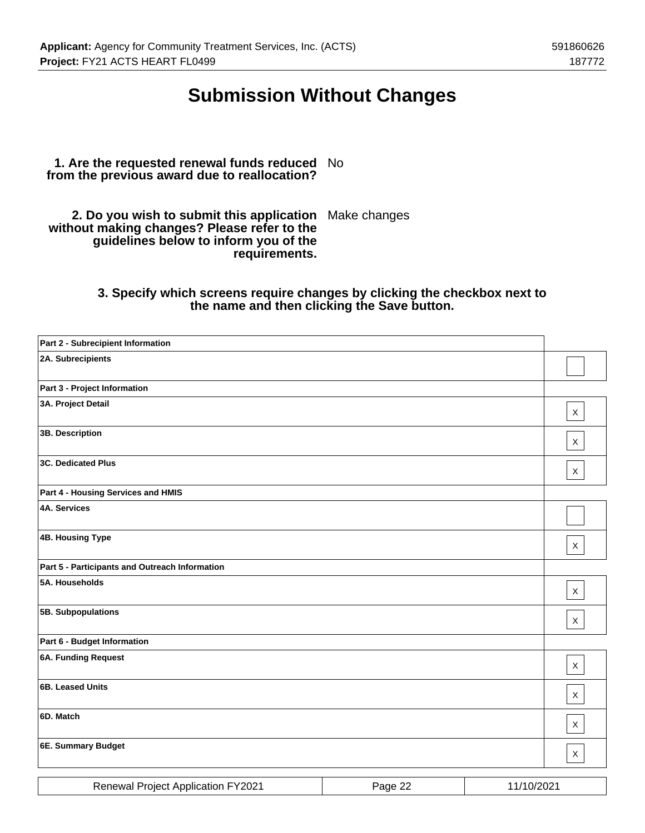## **Submission Without Changes**

**1. Are the requested renewal funds reduced** No **from the previous award due to reallocation?**

**2. Do you wish to submit this application** Make changes **without making changes? Please refer to the guidelines below to inform you of the requirements.**

#### **3. Specify which screens require changes by clicking the checkbox next to the name and then clicking the Save button.**

| Part 2 - Subrecipient Information              |         |            |                |
|------------------------------------------------|---------|------------|----------------|
| 2A. Subrecipients                              |         |            |                |
| Part 3 - Project Information                   |         |            |                |
| 3A. Project Detail                             |         |            | $\mathsf{X}^-$ |
| 3B. Description                                |         |            | X              |
| <b>3C. Dedicated Plus</b>                      |         |            | $\mathsf{X}$   |
| Part 4 - Housing Services and HMIS             |         |            |                |
| <b>4A. Services</b>                            |         |            |                |
| 4B. Housing Type                               |         |            | X              |
| Part 5 - Participants and Outreach Information |         |            |                |
| 5A. Households                                 |         |            | $\mathsf{X}^-$ |
| 5B. Subpopulations                             |         |            | X              |
| Part 6 - Budget Information                    |         |            |                |
| <b>6A. Funding Request</b>                     |         |            | X              |
| 6B. Leased Units                               |         |            | X              |
| 6D. Match                                      |         |            | $\mathsf X$    |
| 6E. Summary Budget                             |         |            | X              |
| Renewal Project Application FY2021             | Page 22 | 11/10/2021 |                |
|                                                |         |            |                |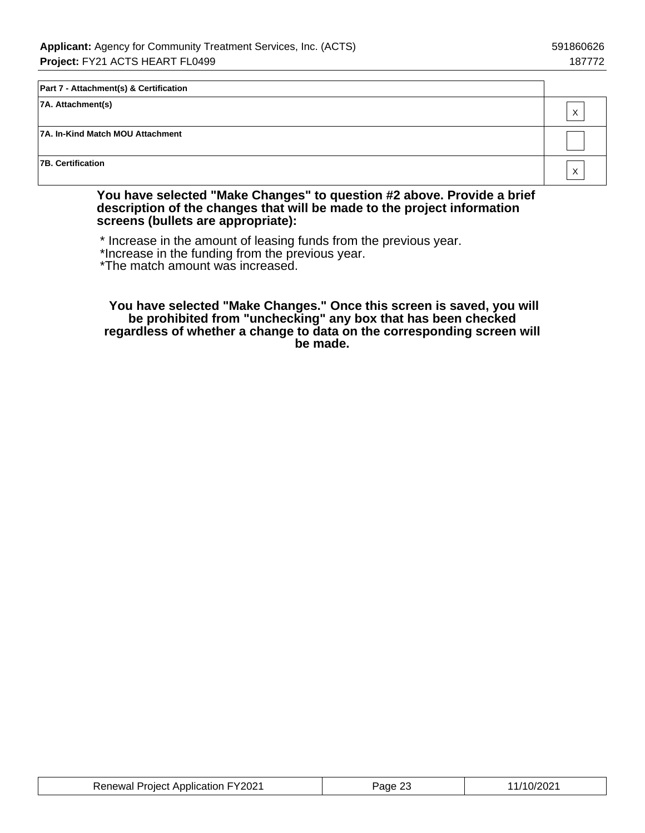| Part 7 - Attachment(s) & Certification |   |
|----------------------------------------|---|
| 7A. Attachment(s)                      | X |
| 7A. In-Kind Match MOU Attachment       |   |
| 7B. Certification                      | X |

**You have selected "Make Changes" to question #2 above. Provide a brief description of the changes that will be made to the project information screens (bullets are appropriate):**

\* Increase in the amount of leasing funds from the previous year. \*Increase in the funding from the previous year.

\*The match amount was increased.

 **You have selected "Make Changes." Once this screen is saved, you will be prohibited from "unchecking" any box that has been checked regardless of whether a change to data on the corresponding screen will be made.**

| <b>Renewal Project Application FY2021</b> | Page 23 | 11/10/2021 |
|-------------------------------------------|---------|------------|
|-------------------------------------------|---------|------------|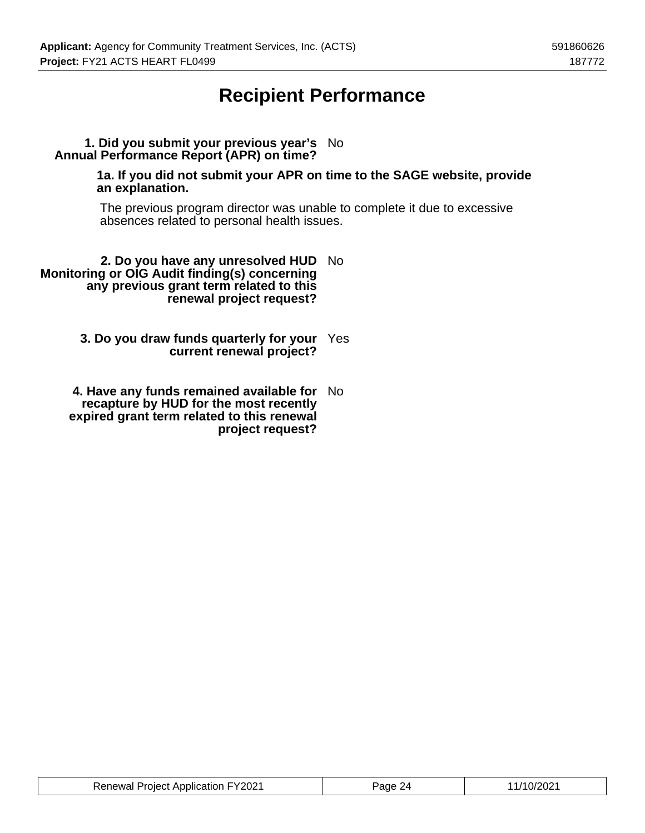## **Recipient Performance**

#### **1. Did you submit your previous year's** No **Annual Performance Report (APR) on time?**

**1a. If you did not submit your APR on time to the SAGE website, provide an explanation.**

The previous program director was unable to complete it due to excessive absences related to personal health issues.

**2. Do you have any unresolved HUD** No **Monitoring or OIG Audit finding(s) concerning any previous grant term related to this renewal project request?**

> **3. Do you draw funds quarterly for your** Yes **current renewal project?**

**4. Have any funds remained available for** No **recapture by HUD for the most recently expired grant term related to this renewal project request?**

| <b>Renewal Project Application FY2021</b> | Page 24 | 11/10/2021 |
|-------------------------------------------|---------|------------|
|-------------------------------------------|---------|------------|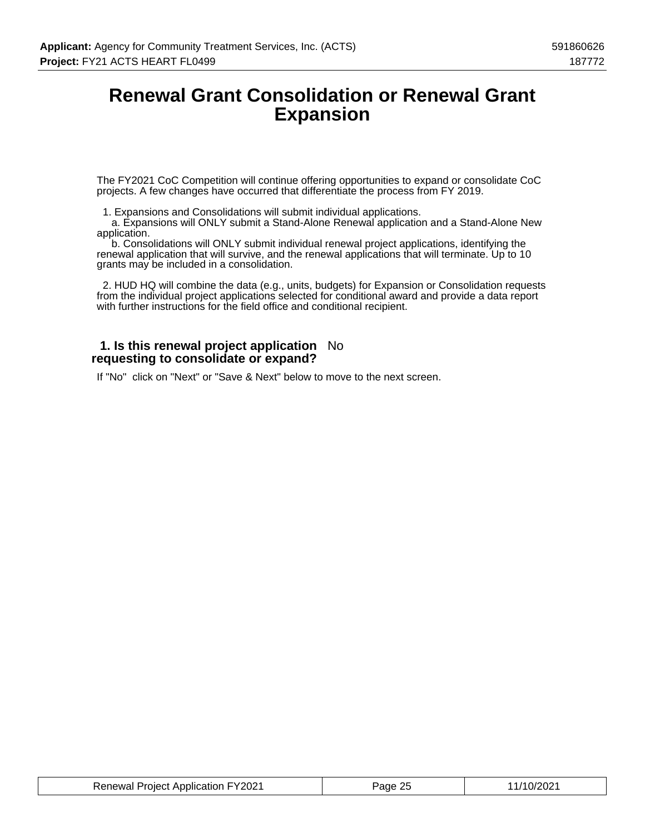### **Renewal Grant Consolidation or Renewal Grant Expansion**

The FY2021 CoC Competition will continue offering opportunities to expand or consolidate CoC projects. A few changes have occurred that differentiate the process from FY 2019.

1. Expansions and Consolidations will submit individual applications.

 a. Expansions will ONLY submit a Stand-Alone Renewal application and a Stand-Alone New application.

 b. Consolidations will ONLY submit individual renewal project applications, identifying the renewal application that will survive, and the renewal applications that will terminate. Up to 10 grants may be included in a consolidation.

 2. HUD HQ will combine the data (e.g., units, budgets) for Expansion or Consolidation requests from the individual project applications selected for conditional award and provide a data report with further instructions for the field office and conditional recipient.

#### **1. Is this renewal project application** No **requesting to consolidate or expand?**

If "No" click on "Next" or "Save & Next" below to move to the next screen.

| <b>Renewal Project Application FY2021</b> | Page 25 | 11/10/2021 |
|-------------------------------------------|---------|------------|
|-------------------------------------------|---------|------------|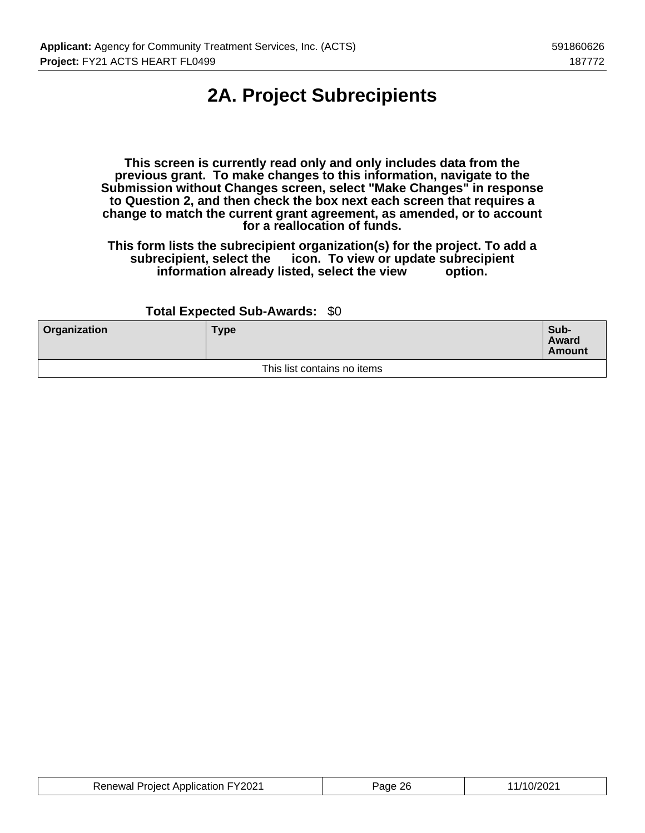# **2A. Project Subrecipients**

**This screen is currently read only and only includes data from the previous grant. To make changes to this information, navigate to the Submission without Changes screen, select "Make Changes" in response to Question 2, and then check the box next each screen that requires a change to match the current grant agreement, as amended, or to account for a reallocation of funds.**

**This form lists the subrecipient organization(s) for the project. To add a subrecipient, select the icon. To view or update subrecipient** information already listed, select the view

|  |  | <b>Total Expected Sub-Awards: \$0</b> |  |
|--|--|---------------------------------------|--|
|--|--|---------------------------------------|--|

| <b>Organization</b> | <b>Type</b>                 | Sub-<br>Award<br><b>Amount</b> |
|---------------------|-----------------------------|--------------------------------|
|                     | This list contains no items |                                |

| <b>Renewal Project Application FY2021</b> | Page 26 | 11/10/2021 |
|-------------------------------------------|---------|------------|
|-------------------------------------------|---------|------------|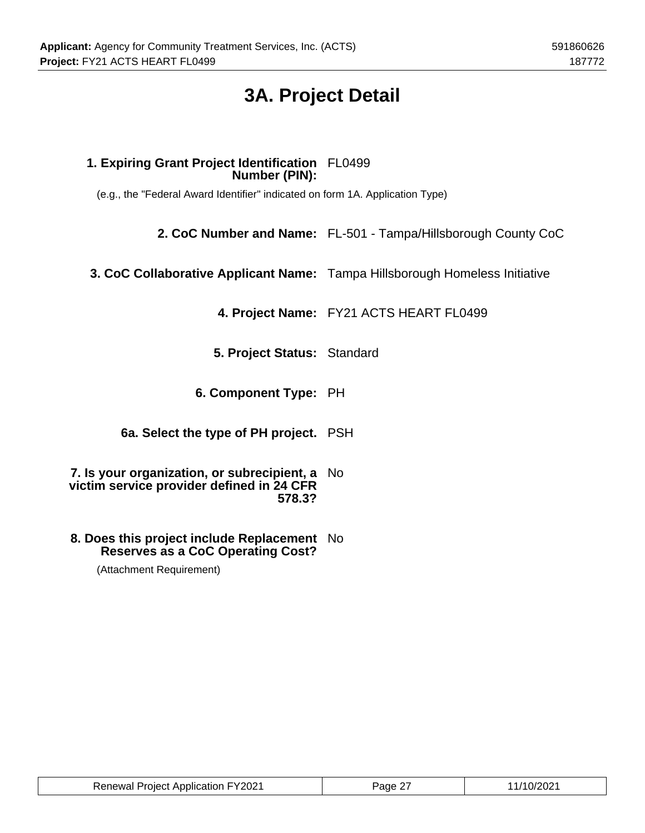# **3A. Project Detail**

### **1. Expiring Grant Project Identification** FL0499 **Number (PIN):**

(e.g., the "Federal Award Identifier" indicated on form 1A. Application Type)

**2. CoC Number and Name:** FL-501 - Tampa/Hillsborough County CoC

**3. CoC Collaborative Applicant Name:** Tampa Hillsborough Homeless Initiative

**4. Project Name:** FY21 ACTS HEART FL0499

- **5. Project Status:** Standard
- **6. Component Type:** PH
- **6a. Select the type of PH project.** PSH
- **7. Is your organization, or subrecipient, a** No **victim service provider defined in 24 CFR 578.3?**
- **8. Does this project include Replacement** No **Reserves as a CoC Operating Cost?**

(Attachment Requirement)

| <b>Renewal Project Application FY2021</b> | Page 27 | 11/10/2021 |
|-------------------------------------------|---------|------------|
|-------------------------------------------|---------|------------|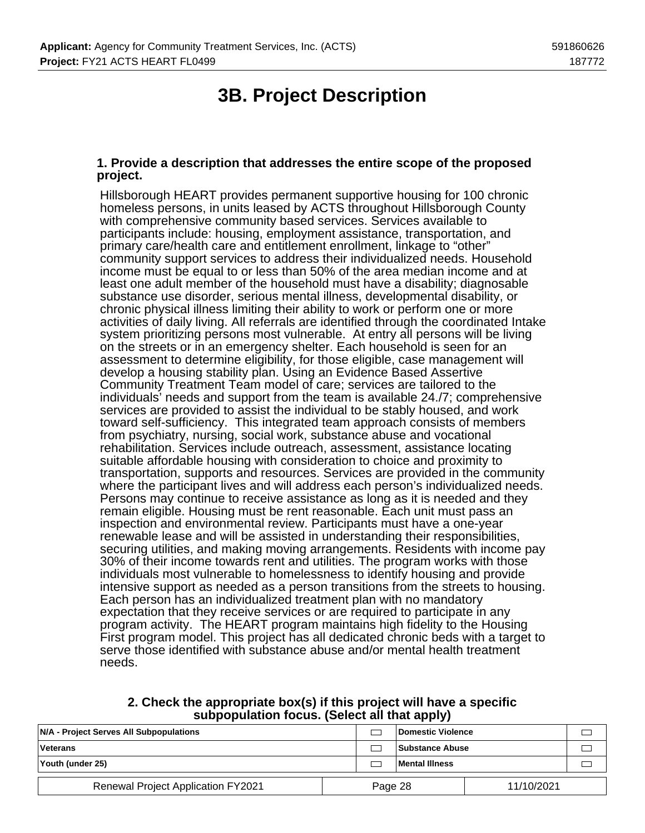# **3B. Project Description**

#### **1. Provide a description that addresses the entire scope of the proposed project.**

Hillsborough HEART provides permanent supportive housing for 100 chronic homeless persons, in units leased by ACTS throughout Hillsborough County with comprehensive community based services. Services available to participants include: housing, employment assistance, transportation, and primary care/health care and entitlement enrollment, linkage to "other" community support services to address their individualized needs. Household income must be equal to or less than 50% of the area median income and at least one adult member of the household must have a disability; diagnosable substance use disorder, serious mental illness, developmental disability, or chronic physical illness limiting their ability to work or perform one or more activities of daily living. All referrals are identified through the coordinated Intake system prioritizing persons most vulnerable. At entry all persons will be living on the streets or in an emergency shelter. Each household is seen for an assessment to determine eligibility, for those eligible, case management will develop a housing stability plan. Using an Evidence Based Assertive Community Treatment Team model of care; services are tailored to the individuals' needs and support from the team is available 24./7; comprehensive services are provided to assist the individual to be stably housed, and work toward self-sufficiency. This integrated team approach consists of members from psychiatry, nursing, social work, substance abuse and vocational rehabilitation. Services include outreach, assessment, assistance locating suitable affordable housing with consideration to choice and proximity to transportation, supports and resources. Services are provided in the community where the participant lives and will address each person's individualized needs. Persons may continue to receive assistance as long as it is needed and they remain eligible. Housing must be rent reasonable. Each unit must pass an inspection and environmental review. Participants must have a one-year renewable lease and will be assisted in understanding their responsibilities, securing utilities, and making moving arrangements. Residents with income pay 30% of their income towards rent and utilities. The program works with those individuals most vulnerable to homelessness to identify housing and provide intensive support as needed as a person transitions from the streets to housing. Each person has an individualized treatment plan with no mandatory expectation that they receive services or are required to participate in any program activity. The HEART program maintains high fidelity to the Housing First program model. This project has all dedicated chronic beds with a target to serve those identified with substance abuse and/or mental health treatment needs.

| 2. Check the appropriate box(s) if this project will have a specific |  |
|----------------------------------------------------------------------|--|
| subpopulation focus. (Select all that apply)                         |  |

| N/A - Project Serves All Subpopulations   |                       |  | <b>Domestic Violence</b> |  |  |
|-------------------------------------------|-----------------------|--|--------------------------|--|--|
| <b>Veterans</b>                           |                       |  | <b>Substance Abuse</b>   |  |  |
| Youth (under 25)                          |                       |  | Mental Illness           |  |  |
| <b>Renewal Project Application FY2021</b> | 11/10/2021<br>Page 28 |  |                          |  |  |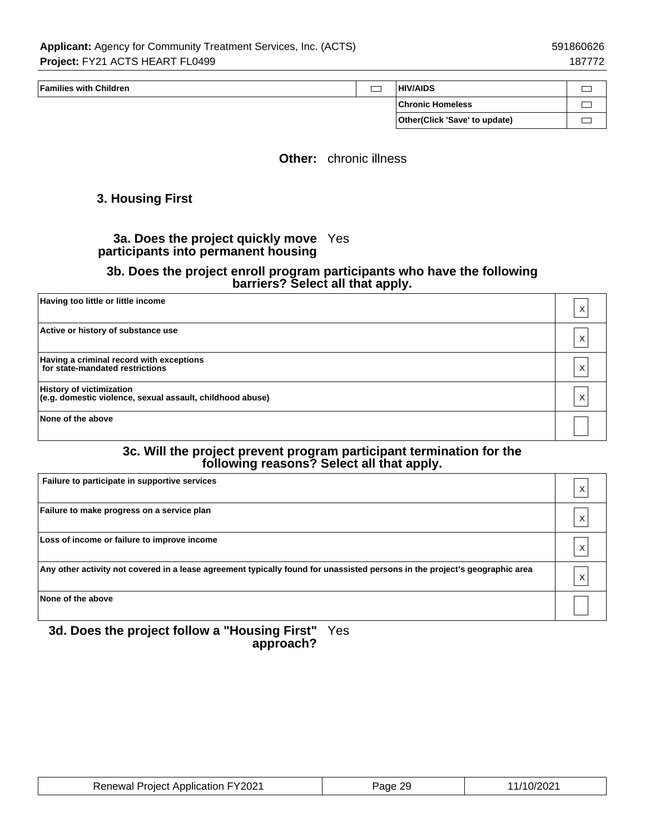| <b>Families with Children</b> | <b>HIV/AIDS</b>               |  |
|-------------------------------|-------------------------------|--|
|                               | <b>Chronic Homeless</b>       |  |
|                               | Other(Click 'Save' to update) |  |

#### **Other:** chronic illness

### **3. Housing First**

#### **3a. Does the project quickly move** Yes **participants into permanent housing**

### **3b. Does the project enroll program participants who have the following barriers? Select all that apply.**

| Having too little or little income                                                           | X |
|----------------------------------------------------------------------------------------------|---|
| Active or history of substance use                                                           | X |
| Having a criminal record with exceptions<br>for state-mandated restrictions                  | X |
| <b>History of victimization</b><br>(e.g. domestic violence, sexual assault, childhood abuse) | X |
| None of the above                                                                            |   |

#### **3c. Will the project prevent program participant termination for the following reasons? Select all that apply.**

| Failure to participate in supportive services                                                                               | X |
|-----------------------------------------------------------------------------------------------------------------------------|---|
| Failure to make progress on a service plan                                                                                  | X |
| Loss of income or failure to improve income                                                                                 | X |
| Any other activity not covered in a lease agreement typically found for unassisted persons in the project's geographic area | X |
| None of the above                                                                                                           |   |

#### **3d. Does the project follow a "Housing First" approach?** Yes

| <b>Renewal Project Application FY2021</b> | Page 29 | /10/202 |
|-------------------------------------------|---------|---------|
|-------------------------------------------|---------|---------|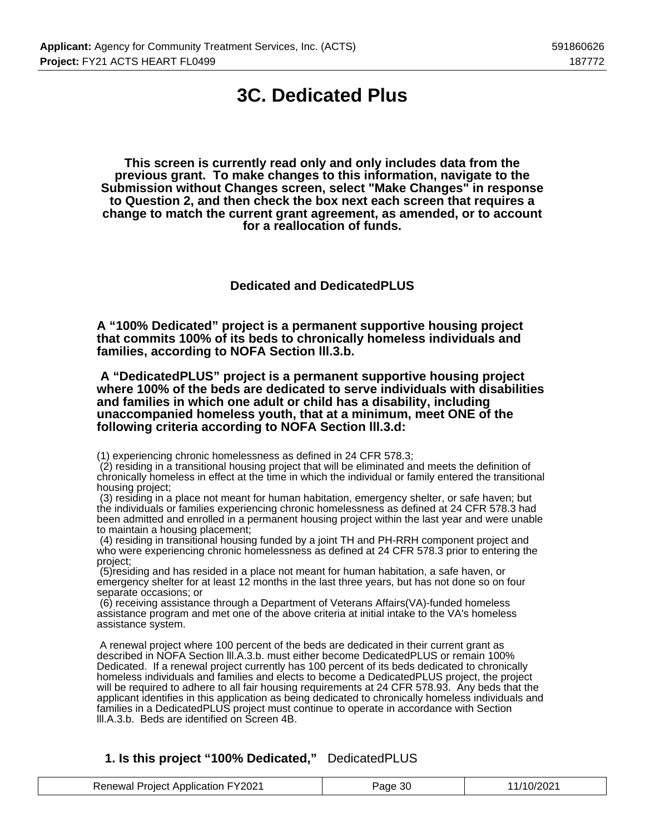## **3C. Dedicated Plus**

**This screen is currently read only and only includes data from the previous grant. To make changes to this information, navigate to the Submission without Changes screen, select "Make Changes" in response to Question 2, and then check the box next each screen that requires a change to match the current grant agreement, as amended, or to account for a reallocation of funds.**

**Dedicated and DedicatedPLUS**

**A "100% Dedicated" project is a permanent supportive housing project that commits 100% of its beds to chronically homeless individuals and families, according to NOFA Section lll.3.b.**

 **A "DedicatedPLUS" project is a permanent supportive housing project where 100% of the beds are dedicated to serve individuals with disabilities and families in which one adult or child has a disability, including unaccompanied homeless youth, that at a minimum, meet ONE of the following criteria according to NOFA Section lll.3.d:**

(1) experiencing chronic homelessness as defined in 24 CFR 578.3;

 (2) residing in a transitional housing project that will be eliminated and meets the definition of chronically homeless in effect at the time in which the individual or family entered the transitional housing project;

 (3) residing in a place not meant for human habitation, emergency shelter, or safe haven; but the individuals or families experiencing chronic homelessness as defined at 24 CFR 578.3 had been admitted and enrolled in a permanent housing project within the last year and were unable to maintain a housing placement;

 (4) residing in transitional housing funded by a joint TH and PH-RRH component project and who were experiencing chronic homelessness as defined at 24 CFR 578.3 prior to entering the project;

 (5)residing and has resided in a place not meant for human habitation, a safe haven, or emergency shelter for at least 12 months in the last three years, but has not done so on four separate occasions; or

 (6) receiving assistance through a Department of Veterans Affairs(VA)-funded homeless assistance program and met one of the above criteria at initial intake to the VA's homeless assistance system.

 A renewal project where 100 percent of the beds are dedicated in their current grant as described in NOFA Section lll.A.3.b. must either become DedicatedPLUS or remain 100% Dedicated. If a renewal project currently has 100 percent of its beds dedicated to chronically homeless individuals and families and elects to become a DedicatedPLUS project, the project will be required to adhere to all fair housing requirements at 24 CFR 578.93. Any beds that the applicant identifies in this application as being dedicated to chronically homeless individuals and families in a DedicatedPLUS project must continue to operate in accordance with Section lll.A.3.b. Beds are identified on Screen 4B.

#### **1. Is this project "100% Dedicated,"** DedicatedPLUS

| <b>Renewal Project Application FY2021</b> | Page 30 | 11/10/2021 |
|-------------------------------------------|---------|------------|
|-------------------------------------------|---------|------------|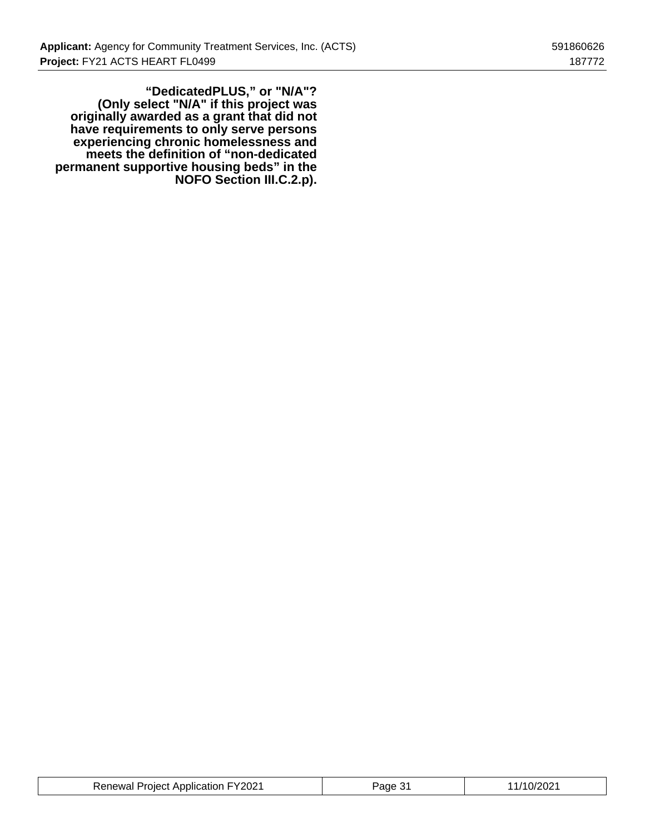**"DedicatedPLUS," or "N/A"? (Only select "N/A" if this project was originally awarded as a grant that did not have requirements to only serve persons experiencing chronic homelessness and meets the definition of "non-dedicated permanent supportive housing beds" in the NOFO Section III.C.2.p).**

| <b>Renewal Project Application FY2021</b> | Page | $10/202^*$ |
|-------------------------------------------|------|------------|
|-------------------------------------------|------|------------|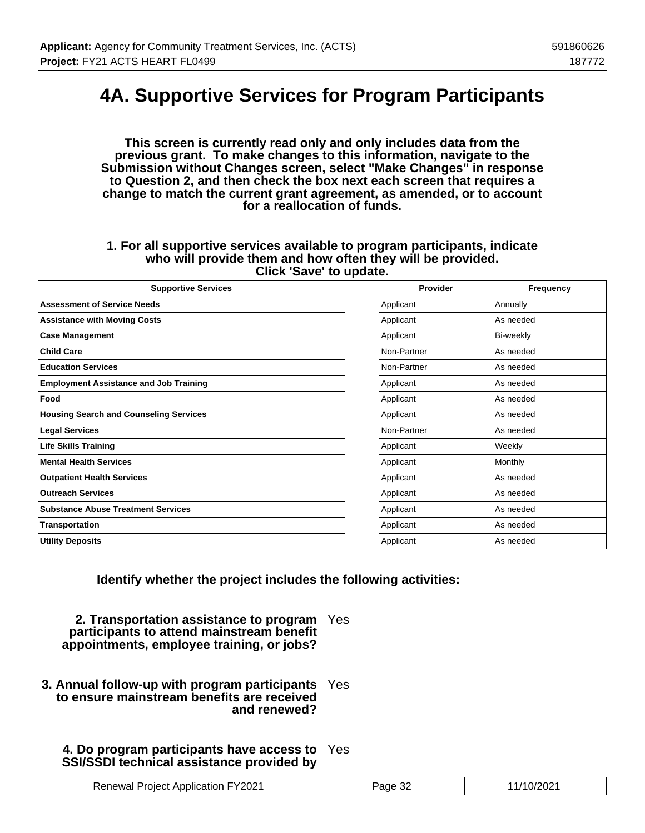## **4A. Supportive Services for Program Participants**

**This screen is currently read only and only includes data from the previous grant. To make changes to this information, navigate to the Submission without Changes screen, select "Make Changes" in response to Question 2, and then check the box next each screen that requires a change to match the current grant agreement, as amended, or to account for a reallocation of funds.**

#### **1. For all supportive services available to program participants, indicate who will provide them and how often they will be provided. Click 'Save' to update.**

| <b>Supportive Services</b>                    | <b>Provider</b> | Frequency |
|-----------------------------------------------|-----------------|-----------|
| <b>Assessment of Service Needs</b>            | Applicant       | Annually  |
| <b>Assistance with Moving Costs</b>           | Applicant       | As needed |
| <b>Case Management</b>                        | Applicant       | Bi-weekly |
| <b>Child Care</b>                             | Non-Partner     | As needed |
| <b>Education Services</b>                     | Non-Partner     | As needed |
| <b>Employment Assistance and Job Training</b> | Applicant       | As needed |
| Food                                          | Applicant       | As needed |
| <b>Housing Search and Counseling Services</b> | Applicant       | As needed |
| <b>Legal Services</b>                         | Non-Partner     | As needed |
| <b>Life Skills Training</b>                   | Applicant       | Weekly    |
| <b>Mental Health Services</b>                 | Applicant       | Monthly   |
| <b>Outpatient Health Services</b>             | Applicant       | As needed |
| <b>Outreach Services</b>                      | Applicant       | As needed |
| <b>Substance Abuse Treatment Services</b>     | Applicant       | As needed |
| Transportation                                | Applicant       | As needed |
| <b>Utility Deposits</b>                       | Applicant       | As needed |

**Identify whether the project includes the following activities:**

**2. Transportation assistance to program** Yes **participants to attend mainstream benefit appointments, employee training, or jobs?**

**3. Annual follow-up with program participants** Yes **to ensure mainstream benefits are received and renewed?**

### **4. Do program participants have access to** Yes **SSI/SSDI technical assistance provided by**

| <b>Renewal Project Application FY2021</b> | Page $32$ | 11/10/2021 |
|-------------------------------------------|-----------|------------|
|-------------------------------------------|-----------|------------|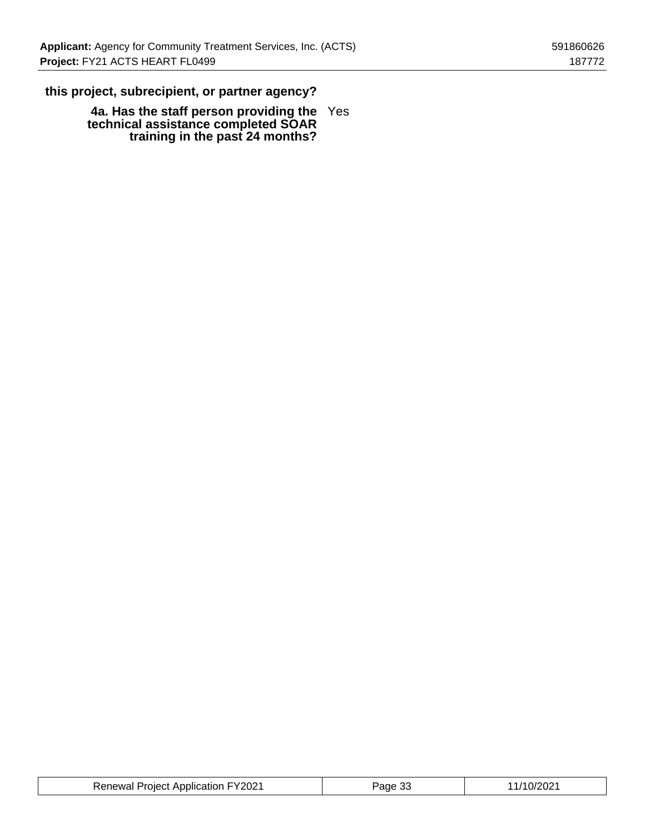### **this project, subrecipient, or partner agency?**

**4a. Has the staff person providing the technical assistance completed SOAR training in the past 24 months?** Yes

| <b>Renewal Project Application FY2021</b> | Page 33 | 11/10/2021 |
|-------------------------------------------|---------|------------|
|-------------------------------------------|---------|------------|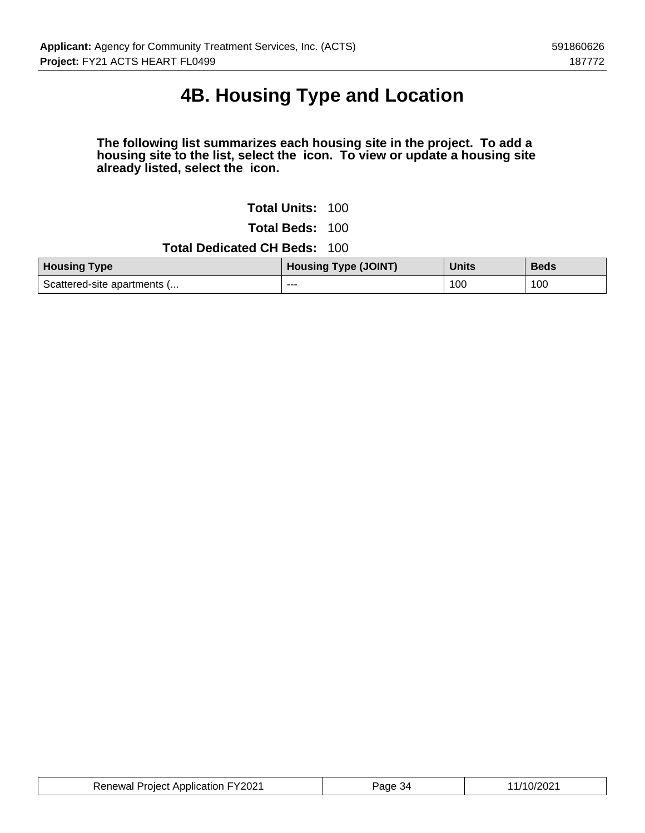# **4B. Housing Type and Location**

#### **The following list summarizes each housing site in the project. To add a housing site to the list, select the icon. To view or update a housing site already listed, select the icon.**

**Total Units:** 100

**Total Beds:** 100

#### **Total Dedicated CH Beds:** 100

| <b>Housing Type</b>         | <b>Housing Type (JOINT)</b> | <b>Units</b> | <b>Beds</b> |
|-----------------------------|-----------------------------|--------------|-------------|
| Scattered-site apartments ( | ---                         | 100          | 100         |

| <b>Renewal Project Application FY2021</b> | Page 34 | /10/2021 |
|-------------------------------------------|---------|----------|
|-------------------------------------------|---------|----------|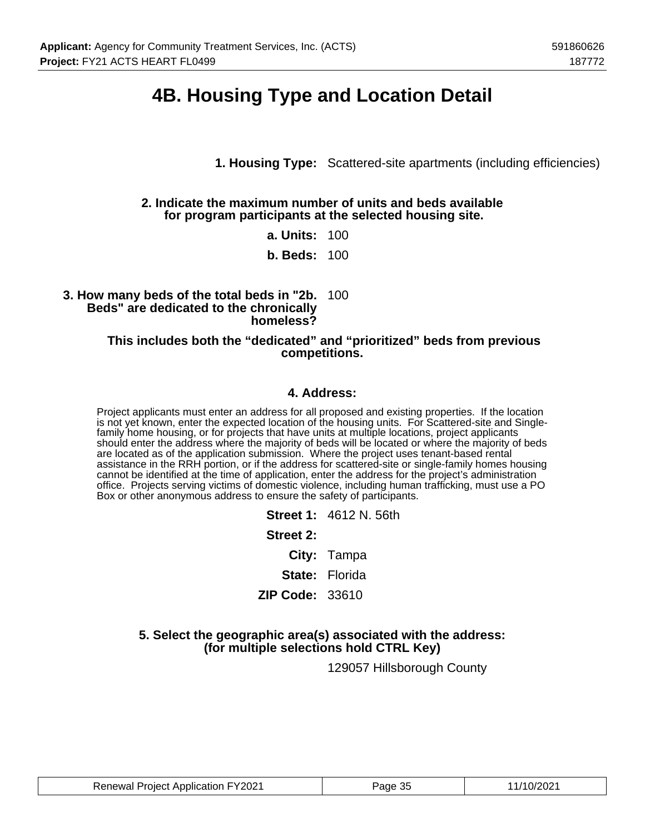### **4B. Housing Type and Location Detail**

**1. Housing Type:** Scattered-site apartments (including efficiencies)

#### **2. Indicate the maximum number of units and beds available for program participants at the selected housing site.**

**a. Units:** 100

**b. Beds:** 100

#### **3. How many beds of the total beds in "2b.** 100 **Beds" are dedicated to the chronically homeless?**

#### **This includes both the "dedicated" and "prioritized" beds from previous competitions.**

#### **4. Address:**

Project applicants must enter an address for all proposed and existing properties. If the location is not yet known, enter the expected location of the housing units. For Scattered-site and Singlefamily home housing, or for projects that have units at multiple locations, project applicants should enter the address where the majority of beds will be located or where the majority of beds are located as of the application submission. Where the project uses tenant-based rental assistance in the RRH portion, or if the address for scattered-site or single-family homes housing cannot be identified at the time of application, enter the address for the project's administration office. Projects serving victims of domestic violence, including human trafficking, must use a PO Box or other anonymous address to ensure the safety of participants.

> **Street 1:** 4612 N. 56th **Street 2: City:** Tampa **State:** Florida **ZIP Code:** 33610

#### **5. Select the geographic area(s) associated with the address: (for multiple selections hold CTRL Key)**

129057 Hillsborough County

| <b>Renewal Project Application FY2021</b> | Page 35 | 11/10/2021 |
|-------------------------------------------|---------|------------|
|-------------------------------------------|---------|------------|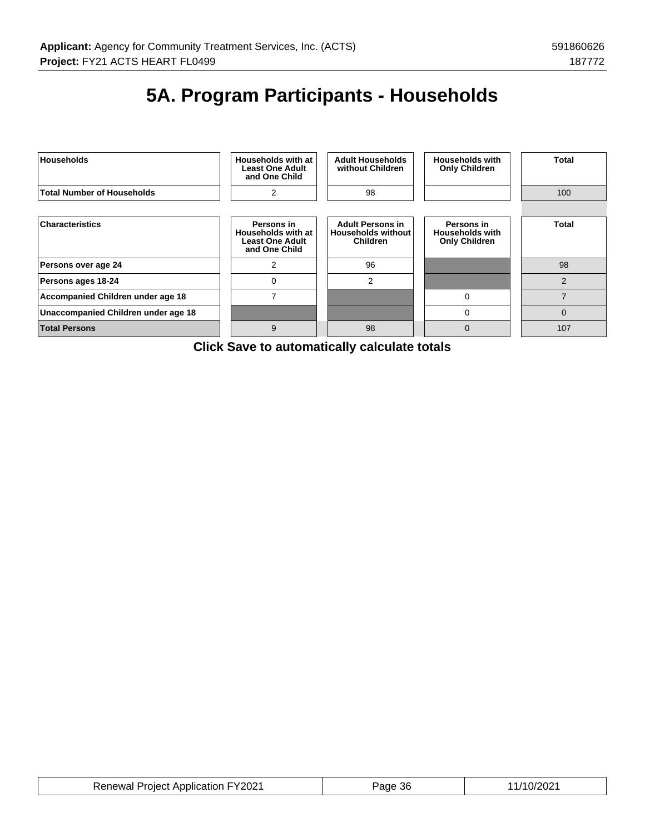# **5A. Program Participants - Households**



**Click Save to automatically calculate totals**

| <b>Renewal Project Application FY2021</b> | Page 36 | 11/10/2021 |
|-------------------------------------------|---------|------------|
|-------------------------------------------|---------|------------|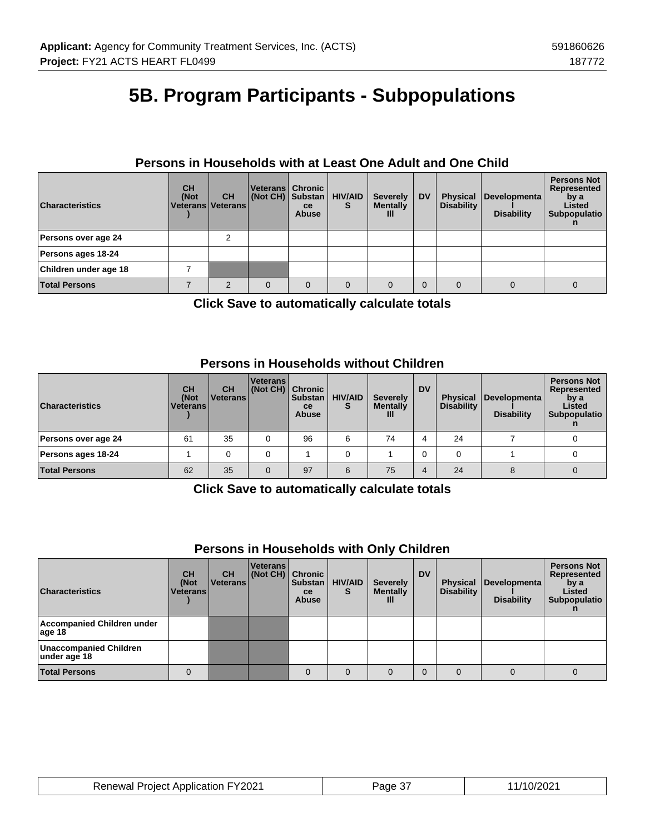# **5B. Program Participants - Subpopulations**

### **Persons in Households with at Least One Adult and One Child**

| <b>Characteristics</b> | <b>CH</b><br>(Not<br>Veterans   Veterans | <b>CH</b> | Veterans Chronic<br>(Not CH) Substan | <b>ce</b><br><b>Abuse</b> | <b>HIV/AID</b> | <b>Severely</b><br><b>Mentally</b><br>ш | <b>DV</b> | <b>Physical</b><br><b>Disability</b> | Developmenta<br><b>Disability</b> | <b>Persons Not</b><br>Represented<br>by a<br>Listed<br>Subpopulatio |
|------------------------|------------------------------------------|-----------|--------------------------------------|---------------------------|----------------|-----------------------------------------|-----------|--------------------------------------|-----------------------------------|---------------------------------------------------------------------|
| Persons over age 24    |                                          |           |                                      |                           |                |                                         |           |                                      |                                   |                                                                     |
| Persons ages 18-24     |                                          |           |                                      |                           |                |                                         |           |                                      |                                   |                                                                     |
| Children under age 18  |                                          |           |                                      |                           |                |                                         |           |                                      |                                   |                                                                     |
| <b>Total Persons</b>   |                                          | C         | 0                                    | $\Omega$                  | $\Omega$       | $\Omega$                                |           |                                      |                                   |                                                                     |

**Click Save to automatically calculate totals**

### **Persons in Households without Children**

| <b>Characteristics</b> | <b>CH</b><br>(Not<br><b>Veterans</b> | <b>CH</b><br>Veterans | <b>Veterans</b><br>(Not CH) Chronic | <b>Substan</b><br><b>ce</b><br><b>Abuse</b> | <b>HIV/AID</b><br>S | <b>Severely</b><br><b>Mentally</b><br>Ш | <b>DV</b> | <b>Disability</b> | Physical Developmenta<br><b>Disability</b> | <b>Persons Not</b><br>Represented<br>by a<br>Listed<br>Subpopulatio |
|------------------------|--------------------------------------|-----------------------|-------------------------------------|---------------------------------------------|---------------------|-----------------------------------------|-----------|-------------------|--------------------------------------------|---------------------------------------------------------------------|
| Persons over age 24    | 61                                   | 35                    |                                     | 96                                          | 6                   | 74                                      | 4         | 24                |                                            |                                                                     |
| Persons ages 18-24     |                                      |                       |                                     |                                             | 0                   |                                         |           |                   |                                            |                                                                     |
| <b>Total Persons</b>   | 62                                   | 35                    |                                     | 97                                          | 6                   | 75                                      | 4         | 24                |                                            |                                                                     |

**Click Save to automatically calculate totals**

### **Persons in Households with Only Children**

| <b>Characteristics</b>                        | <b>CH</b><br>(Not<br><b>Veterans</b> | <b>CH</b><br><b>Veterans</b> | <b>Veterans</b><br>(Not CH) Chronic | <b>Substan</b><br>ce<br><b>Abuse</b> | <b>HIV/AID</b><br>S | <b>Severely</b><br><b>Mentally</b><br>Ш | <b>DV</b> | <b>Physical</b><br><b>Disability</b> | Developmenta<br><b>Disability</b> | <b>Persons Not</b><br>Represented<br>by a<br>Listed<br>Subpopulatio<br>n |
|-----------------------------------------------|--------------------------------------|------------------------------|-------------------------------------|--------------------------------------|---------------------|-----------------------------------------|-----------|--------------------------------------|-----------------------------------|--------------------------------------------------------------------------|
| Accompanied Children under<br>age 18          |                                      |                              |                                     |                                      |                     |                                         |           |                                      |                                   |                                                                          |
| <b>Unaccompanied Children</b><br>under age 18 |                                      |                              |                                     |                                      |                     |                                         |           |                                      |                                   |                                                                          |
| <b>Total Persons</b>                          |                                      |                              |                                     |                                      |                     |                                         |           |                                      |                                   |                                                                          |

| <b>Renewal Project Application FY2021</b> | Page 37 | 11/10/2021 |
|-------------------------------------------|---------|------------|
|-------------------------------------------|---------|------------|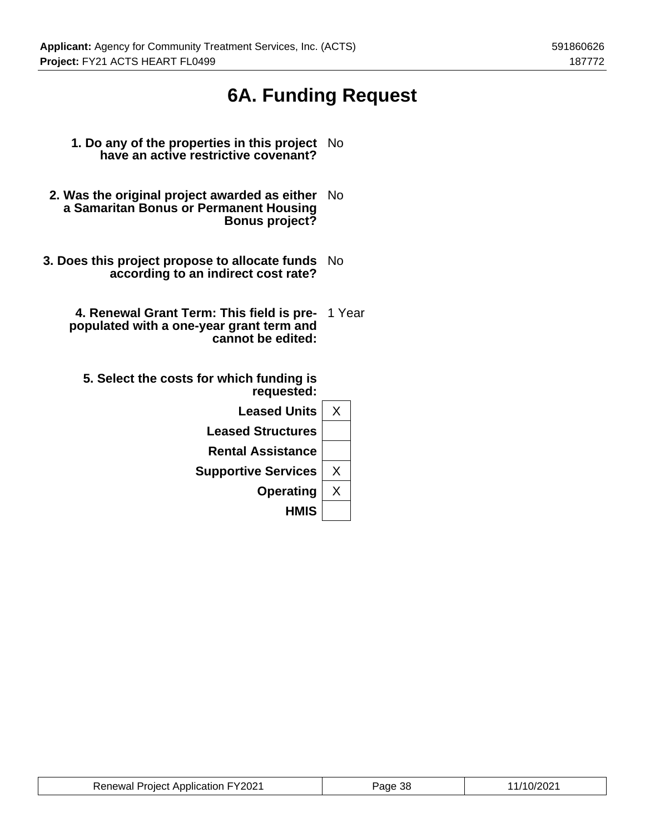# **6A. Funding Request**

- **1. Do any of the properties in this project have an active restrictive covenant?** No
- **2. Was the original project awarded as either** No **a Samaritan Bonus or Permanent Housing Bonus project?**
- **3. Does this project propose to allocate funds** No **according to an indirect cost rate?**
	- **4. Renewal Grant Term: This field is pre-**1 Year **populated with a one-year grant term and cannot be edited:**
		- **5. Select the costs for which funding is requested:**

| <b>Leased Units</b>        |   |
|----------------------------|---|
| <b>Leased Structures</b>   |   |
| <b>Rental Assistance</b>   |   |
| <b>Supportive Services</b> | Χ |
| <b>Operating</b>           | х |
| <b>HMIS</b>                |   |

| <b>Renewal Project Application FY2021</b> | Page 38 | 11/10/2021 |
|-------------------------------------------|---------|------------|
|-------------------------------------------|---------|------------|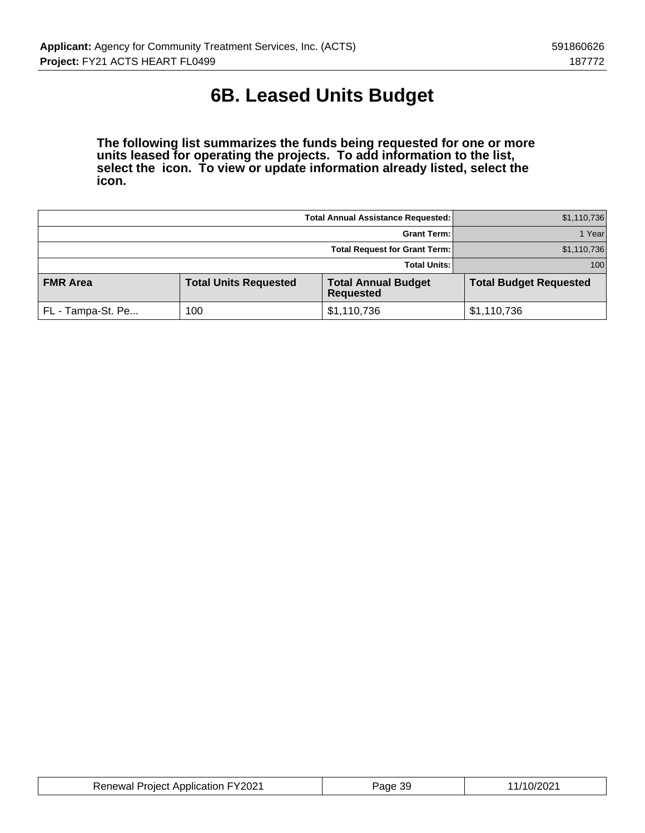# **6B. Leased Units Budget**

**The following list summarizes the funds being requested for one or more units leased for operating the projects. To add information to the list, select the icon. To view or update information already listed, select the icon.**

|                   | \$1,110,736                   |                                                |                               |
|-------------------|-------------------------------|------------------------------------------------|-------------------------------|
|                   | 1 Yearl                       |                                                |                               |
|                   | Total Request for Grant Term: | \$1,110,736                                    |                               |
|                   | <b>Total Units:</b>           | 100                                            |                               |
| <b>FMR Area</b>   | <b>Total Units Requested</b>  | <b>Total Annual Budget</b><br><b>Requested</b> | <b>Total Budget Requested</b> |
| FL - Tampa-St. Pe | 100                           | \$1,110,736                                    | \$1,110,736                   |

| ا0uion FY2021<br>: Annlication.<br>Project<br>Renewal | ωz | rO/<br>$20\epsilon$ |
|-------------------------------------------------------|----|---------------------|
|-------------------------------------------------------|----|---------------------|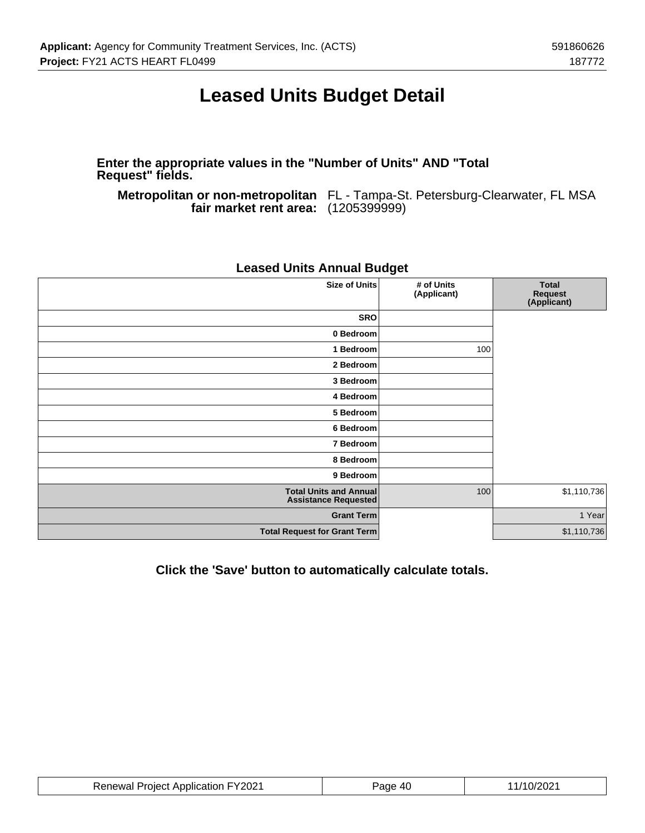## **Leased Units Budget Detail**

**Enter the appropriate values in the "Number of Units" AND "Total Request" fields.**

**Metropolitan or non-metropolitan** FL - Tampa-St. Petersburg-Clearwater, FL MSA **fair market rent area:** (1205399999)

|                                                              | ັ                         |                                        |  |  |  |  |
|--------------------------------------------------------------|---------------------------|----------------------------------------|--|--|--|--|
| <b>Size of Units</b>                                         | # of Units<br>(Applicant) | <b>Total</b><br>Request<br>(Applicant) |  |  |  |  |
| <b>SRO</b>                                                   |                           |                                        |  |  |  |  |
| 0 Bedroom                                                    |                           |                                        |  |  |  |  |
| 1 Bedroom                                                    | 100                       |                                        |  |  |  |  |
| 2 Bedroom                                                    |                           |                                        |  |  |  |  |
| 3 Bedroom                                                    |                           |                                        |  |  |  |  |
| 4 Bedroom                                                    |                           |                                        |  |  |  |  |
| 5 Bedroom                                                    |                           |                                        |  |  |  |  |
| 6 Bedroom                                                    |                           |                                        |  |  |  |  |
| 7 Bedroom                                                    |                           |                                        |  |  |  |  |
| 8 Bedroom                                                    |                           |                                        |  |  |  |  |
| 9 Bedroom                                                    |                           |                                        |  |  |  |  |
| <b>Total Units and Annual</b><br><b>Assistance Requested</b> | 100                       | \$1,110,736                            |  |  |  |  |
| <b>Grant Term</b>                                            |                           | 1 Year                                 |  |  |  |  |
| <b>Total Request for Grant Term</b>                          |                           | \$1,110,736                            |  |  |  |  |
|                                                              |                           |                                        |  |  |  |  |

### **Leased Units Annual Budget**

**Click the 'Save' button to automatically calculate totals.**

| <b>Renewal Project Application FY2021</b> | Page 40 | 11/10/2021 |
|-------------------------------------------|---------|------------|
|-------------------------------------------|---------|------------|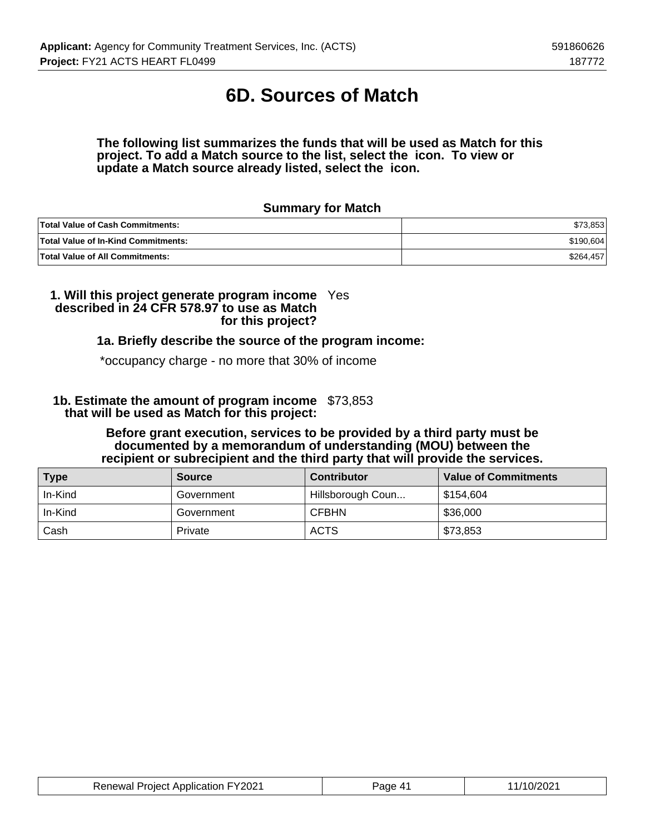# **6D. Sources of Match**

**The following list summarizes the funds that will be used as Match for this project. To add a Match source to the list, select the icon. To view or update a Match source already listed, select the icon.**

#### **Summary for Match**

| <b>Total Value of Cash Commitments:</b>    | \$73,853  |
|--------------------------------------------|-----------|
| <b>Total Value of In-Kind Commitments:</b> | \$190.604 |
| <b>Total Value of All Commitments:</b>     | \$264.457 |

#### **1. Will this project generate program income** Yes **described in 24 CFR 578.97 to use as Match for this project?**

#### **1a. Briefly describe the source of the program income:**

\*occupancy charge - no more that 30% of income

#### **1b. Estimate the amount of program income** \$73,853  **that will be used as Match for this project:**

**Before grant execution, services to be provided by a third party must be documented by a memorandum of understanding (MOU) between the recipient or subrecipient and the third party that will provide the services.**

| <b>Type</b> | <b>Source</b> | <b>Contributor</b> | <b>Value of Commitments</b> |
|-------------|---------------|--------------------|-----------------------------|
| In-Kind     | Government    | Hillsborough Coun  | \$154,604                   |
| In-Kind     | Government    | <b>CFBHN</b>       | \$36,000                    |
| Cash        | Private       | <b>ACTS</b>        | \$73,853                    |

| <b>Renewal Project Application FY2021</b> | Page 41 | 11/10/2021 |
|-------------------------------------------|---------|------------|
|-------------------------------------------|---------|------------|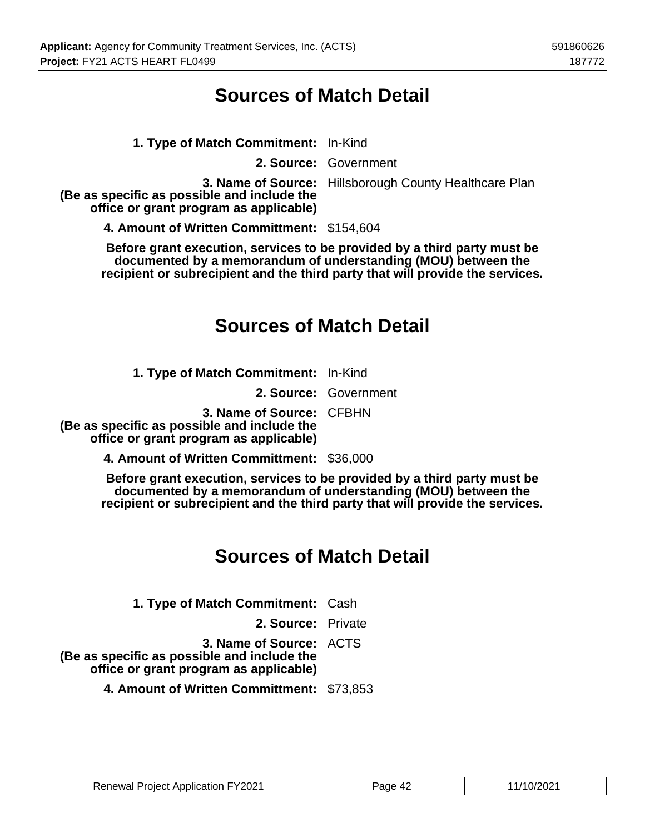### **Sources of Match Detail**

**1. Type of Match Commitment:** In-Kind

**2. Source:** Government

**3. Name of Source:** Hillsborough County Healthcare Plan  **(Be as specific as possible and include the office or grant program as applicable)**

**4. Amount of Written Committment:** \$154,604

**Before grant execution, services to be provided by a third party must be documented by a memorandum of understanding (MOU) between the recipient or subrecipient and the third party that will provide the services.**

## **Sources of Match Detail**

**1. Type of Match Commitment:** In-Kind

**2. Source:** Government

**3. Name of Source:** CFBHN

 **(Be as specific as possible and include the office or grant program as applicable)**

**4. Amount of Written Committment:** \$36,000

**Before grant execution, services to be provided by a third party must be documented by a memorandum of understanding (MOU) between the recipient or subrecipient and the third party that will provide the services.**

# **Sources of Match Detail**

**1. Type of Match Commitment:** Cash

**2. Source:** Private

**3. Name of Source:** ACTS  **(Be as specific as possible and include the office or grant program as applicable)**

**4. Amount of Written Committment:** \$73,853

| <b>Renewal Project Application FY2021</b> | Page 42 | 11/10/2021 |
|-------------------------------------------|---------|------------|
|-------------------------------------------|---------|------------|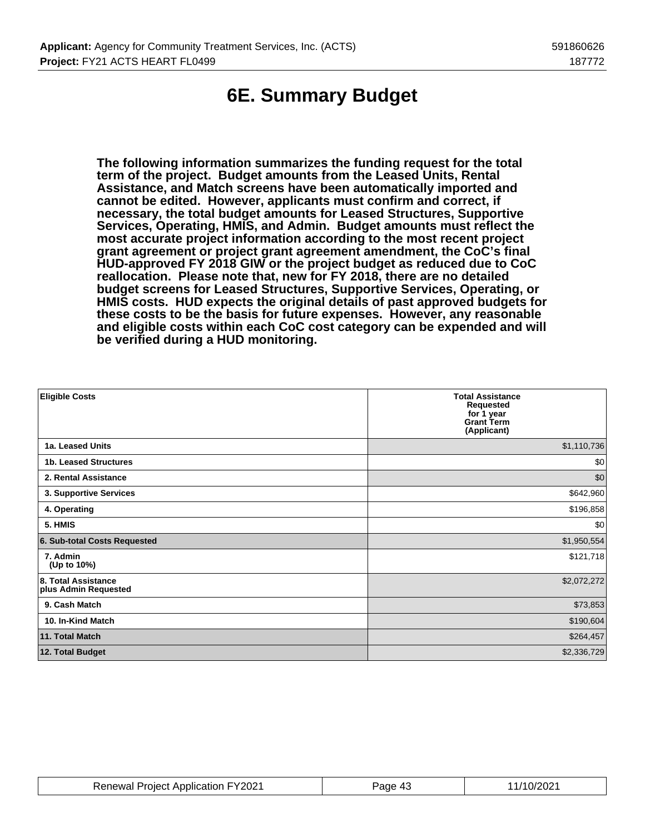# **6E. Summary Budget**

**The following information summarizes the funding request for the total term of the project. Budget amounts from the Leased Units, Rental Assistance, and Match screens have been automatically imported and cannot be edited. However, applicants must confirm and correct, if necessary, the total budget amounts for Leased Structures, Supportive Services, Operating, HMIS, and Admin. Budget amounts must reflect the most accurate project information according to the most recent project grant agreement or project grant agreement amendment, the CoC's final HUD-approved FY 2018 GIW or the project budget as reduced due to CoC reallocation. Please note that, new for FY 2018, there are no detailed budget screens for Leased Structures, Supportive Services, Operating, or HMIS costs. HUD expects the original details of past approved budgets for these costs to be the basis for future expenses. However, any reasonable and eligible costs within each CoC cost category can be expended and will be verified during a HUD monitoring.**

| <b>Eligible Costs</b>                       | <b>Total Assistance</b><br>Requested<br>for 1 year<br><b>Grant Term</b><br>(Applicant) |
|---------------------------------------------|----------------------------------------------------------------------------------------|
| 1a. Leased Units                            | \$1,110,736                                                                            |
| 1b. Leased Structures                       | \$0                                                                                    |
| 2. Rental Assistance                        | \$0                                                                                    |
| 3. Supportive Services                      | \$642,960                                                                              |
| 4. Operating                                | \$196,858                                                                              |
| 5. HMIS                                     | \$0                                                                                    |
| 6. Sub-total Costs Requested                | \$1,950,554                                                                            |
| 7. Admin<br>(Up to 10%)                     | \$121,718                                                                              |
| 8. Total Assistance<br>plus Admin Requested | \$2,072,272                                                                            |
| 9. Cash Match                               | \$73,853                                                                               |
| 10. In-Kind Match                           | \$190,604                                                                              |
| 11. Total Match                             | \$264,457                                                                              |
| 12. Total Budget                            | \$2,336,729                                                                            |

| <b>Renewal Project Application FY2021</b> | Page 43 | 11/10/2021 |
|-------------------------------------------|---------|------------|
|-------------------------------------------|---------|------------|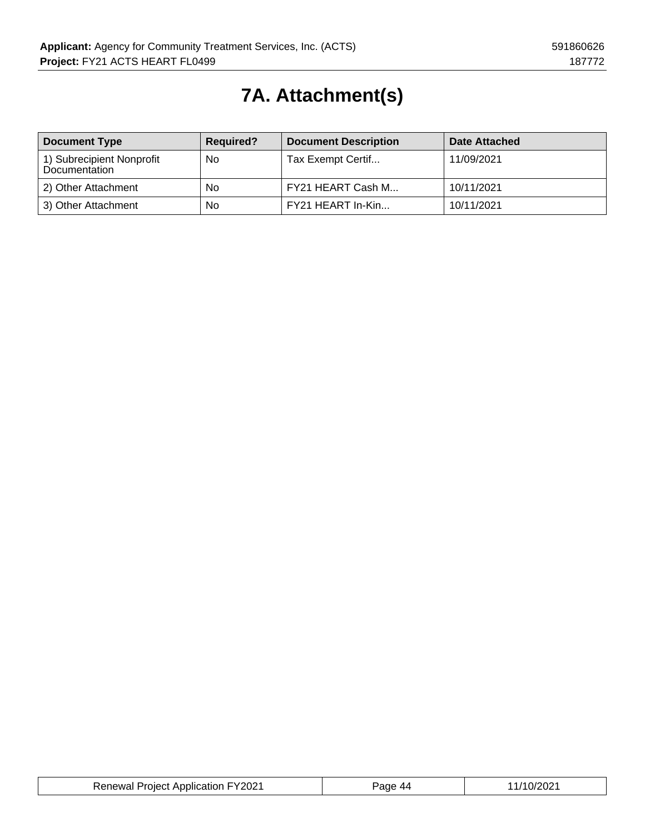# **7A. Attachment(s)**

| <b>Document Type</b>                       | <b>Required?</b> | <b>Document Description</b> | Date Attached |
|--------------------------------------------|------------------|-----------------------------|---------------|
| 1) Subrecipient Nonprofit<br>Documentation | No.              | Tax Exempt Certif           | 11/09/2021    |
| 2) Other Attachment                        | No               | FY21 HEART Cash M           | 10/11/2021    |
| 3) Other Attachment                        | No               | FY21 HEART In-Kin           | 10/11/2021    |

| <b>Renewal Project Application FY2021</b> | Page 44 | 11/10/2021 |
|-------------------------------------------|---------|------------|
|-------------------------------------------|---------|------------|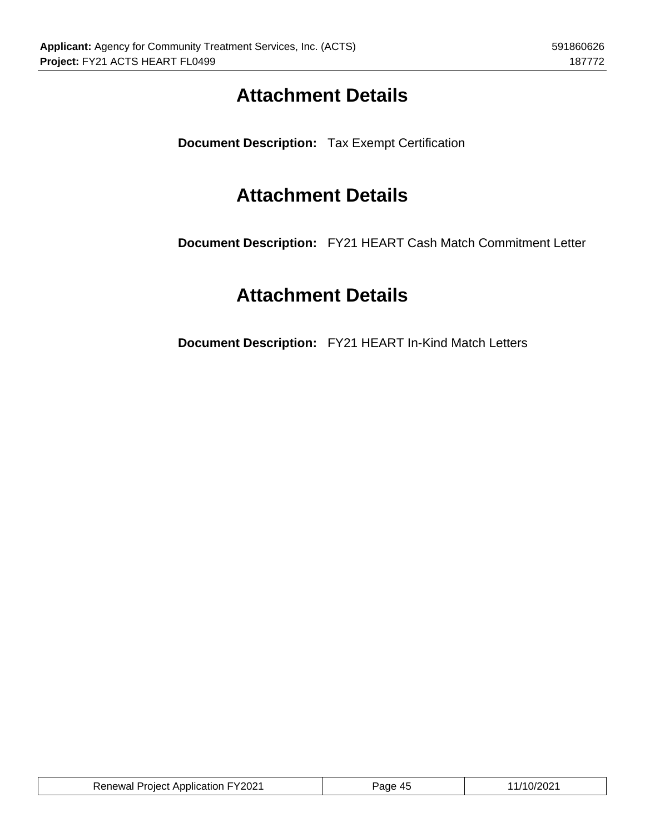# **Attachment Details**

**Document Description:** Tax Exempt Certification

## **Attachment Details**

**Document Description:** FY21 HEART Cash Match Commitment Letter

## **Attachment Details**

**Document Description:** FY21 HEART In-Kind Match Letters

| <b>Renewal Project Application FY2021</b> | 'ane<br>4⊾ | ″∪∠<br>$\cdots$ |
|-------------------------------------------|------------|-----------------|
|-------------------------------------------|------------|-----------------|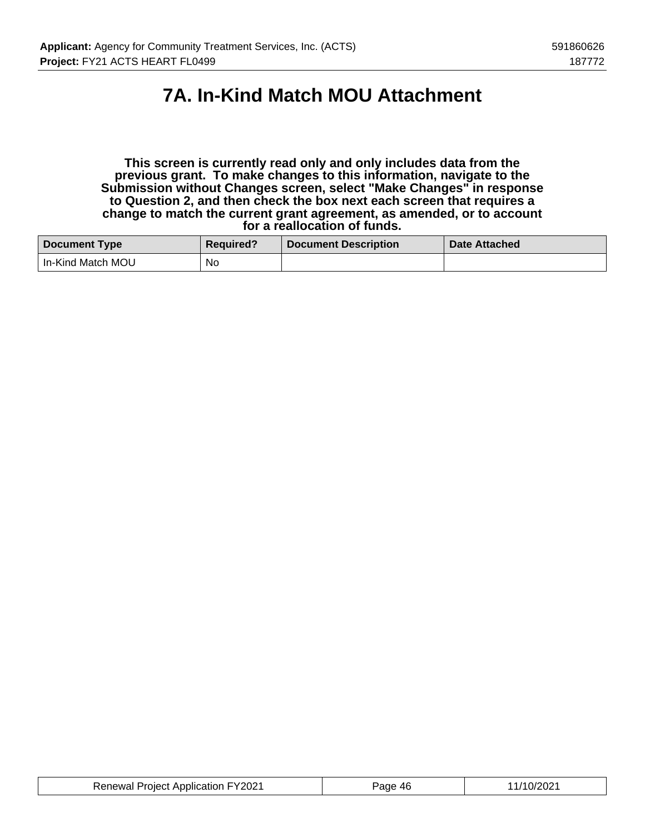# **7A. In-Kind Match MOU Attachment**

**This screen is currently read only and only includes data from the previous grant. To make changes to this information, navigate to the Submission without Changes screen, select "Make Changes" in response to Question 2, and then check the box next each screen that requires a change to match the current grant agreement, as amended, or to account for a reallocation of funds.**

| <b>Document Type</b> | <b>Required?</b> | <b>Document Description</b> | <b>Date Attached</b> |
|----------------------|------------------|-----------------------------|----------------------|
| l In-Kind Match MOU  | No.              |                             |                      |

| <b>Renewal Project Application FY2021</b> | Page 46 | 11/10/2021 |
|-------------------------------------------|---------|------------|
|-------------------------------------------|---------|------------|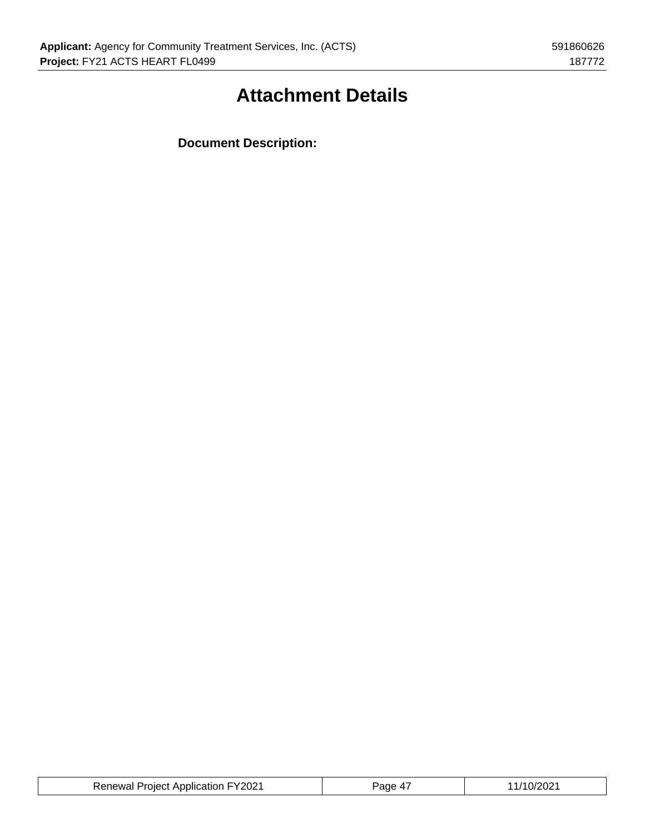# **Attachment Details**

**Document Description:**

| <b>Renewal Project Application FY2021</b> | Page 47 | 11/10/2021 |
|-------------------------------------------|---------|------------|
|-------------------------------------------|---------|------------|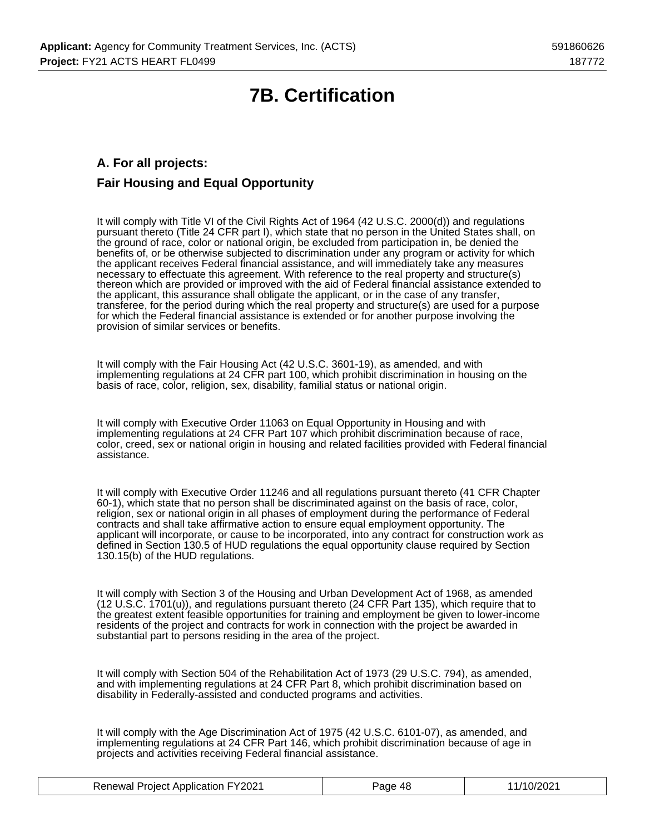# **7B. Certification**

### **A. For all projects: Fair Housing and Equal Opportunity**

It will comply with Title VI of the Civil Rights Act of 1964 (42 U.S.C. 2000(d)) and regulations pursuant thereto (Title 24 CFR part I), which state that no person in the United States shall, on the ground of race, color or national origin, be excluded from participation in, be denied the benefits of, or be otherwise subjected to discrimination under any program or activity for which the applicant receives Federal financial assistance, and will immediately take any measures necessary to effectuate this agreement. With reference to the real property and structure(s) thereon which are provided or improved with the aid of Federal financial assistance extended to the applicant, this assurance shall obligate the applicant, or in the case of any transfer, transferee, for the period during which the real property and structure(s) are used for a purpose for which the Federal financial assistance is extended or for another purpose involving the provision of similar services or benefits.

It will comply with the Fair Housing Act (42 U.S.C. 3601-19), as amended, and with implementing regulations at 24 CFR part 100, which prohibit discrimination in housing on the basis of race, color, religion, sex, disability, familial status or national origin.

It will comply with Executive Order 11063 on Equal Opportunity in Housing and with implementing regulations at 24 CFR Part 107 which prohibit discrimination because of race, color, creed, sex or national origin in housing and related facilities provided with Federal financial assistance.

It will comply with Executive Order 11246 and all regulations pursuant thereto (41 CFR Chapter 60-1), which state that no person shall be discriminated against on the basis of race, color, religion, sex or national origin in all phases of employment during the performance of Federal contracts and shall take affirmative action to ensure equal employment opportunity. The applicant will incorporate, or cause to be incorporated, into any contract for construction work as defined in Section 130.5 of HUD regulations the equal opportunity clause required by Section 130.15(b) of the HUD regulations.

It will comply with Section 3 of the Housing and Urban Development Act of 1968, as amended (12 U.S.C. 1701(u)), and regulations pursuant thereto (24 CFR Part 135), which require that to the greatest extent feasible opportunities for training and employment be given to lower-income residents of the project and contracts for work in connection with the project be awarded in substantial part to persons residing in the area of the project.

It will comply with Section 504 of the Rehabilitation Act of 1973 (29 U.S.C. 794), as amended, and with implementing regulations at 24 CFR Part 8, which prohibit discrimination based on disability in Federally-assisted and conducted programs and activities.

It will comply with the Age Discrimination Act of 1975 (42 U.S.C. 6101-07), as amended, and implementing regulations at 24 CFR Part 146, which prohibit discrimination because of age in projects and activities receiving Federal financial assistance.

| <b>Renewal Project Application FY2021</b> | Page 48 | 11/10/2021 |
|-------------------------------------------|---------|------------|
|-------------------------------------------|---------|------------|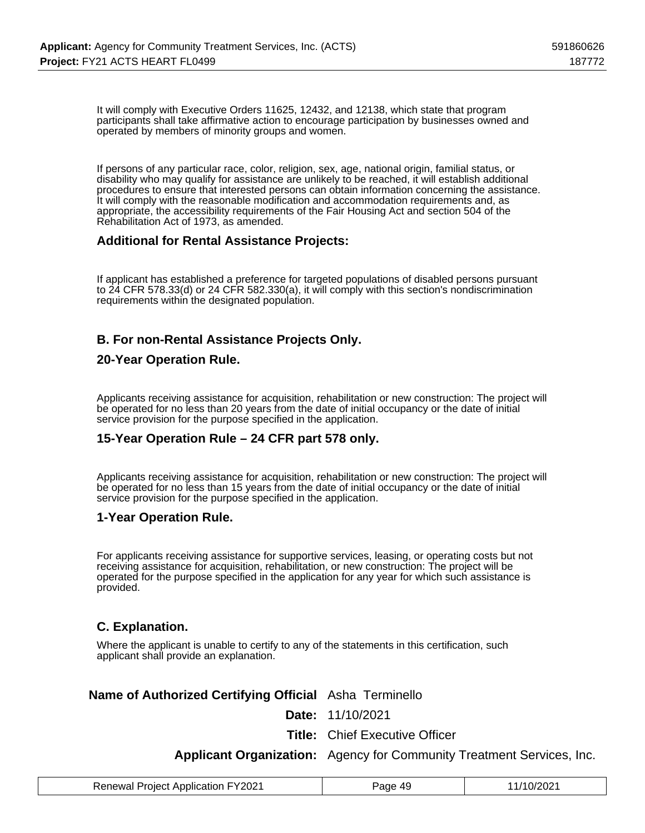It will comply with Executive Orders 11625, 12432, and 12138, which state that program participants shall take affirmative action to encourage participation by businesses owned and operated by members of minority groups and women.

If persons of any particular race, color, religion, sex, age, national origin, familial status, or disability who may qualify for assistance are unlikely to be reached, it will establish additional procedures to ensure that interested persons can obtain information concerning the assistance. It will comply with the reasonable modification and accommodation requirements and, as appropriate, the accessibility requirements of the Fair Housing Act and section 504 of the Rehabilitation Act of 1973, as amended.

#### **Additional for Rental Assistance Projects:**

If applicant has established a preference for targeted populations of disabled persons pursuant to 24 CFR 578.33(d) or 24 CFR 582.330(a), it will comply with this section's nondiscrimination requirements within the designated population.

### **B. For non-Rental Assistance Projects Only.**

#### **20-Year Operation Rule.**

Applicants receiving assistance for acquisition, rehabilitation or new construction: The project will be operated for no less than 20 years from the date of initial occupancy or the date of initial service provision for the purpose specified in the application.

#### **15-Year Operation Rule – 24 CFR part 578 only.**

Applicants receiving assistance for acquisition, rehabilitation or new construction: The project will be operated for no less than 15 years from the date of initial occupancy or the date of initial service provision for the purpose specified in the application.

#### **1-Year Operation Rule.**

For applicants receiving assistance for supportive services, leasing, or operating costs but not receiving assistance for acquisition, rehabilitation, or new construction: The project will be operated for the purpose specified in the application for any year for which such assistance is provided.

#### **C. Explanation.**

Where the applicant is unable to certify to any of the statements in this certification, such applicant shall provide an explanation.

#### **Name of Authorized Certifying Official** Asha Terminello

**Date:** 11/10/2021

**Title:** Chief Executive Officer

#### **Applicant Organization:** Agency for Community Treatment Services, Inc.

| <b>Renewal Project Application FY2021</b> | Page 49 | 11/10/2021 |
|-------------------------------------------|---------|------------|
|-------------------------------------------|---------|------------|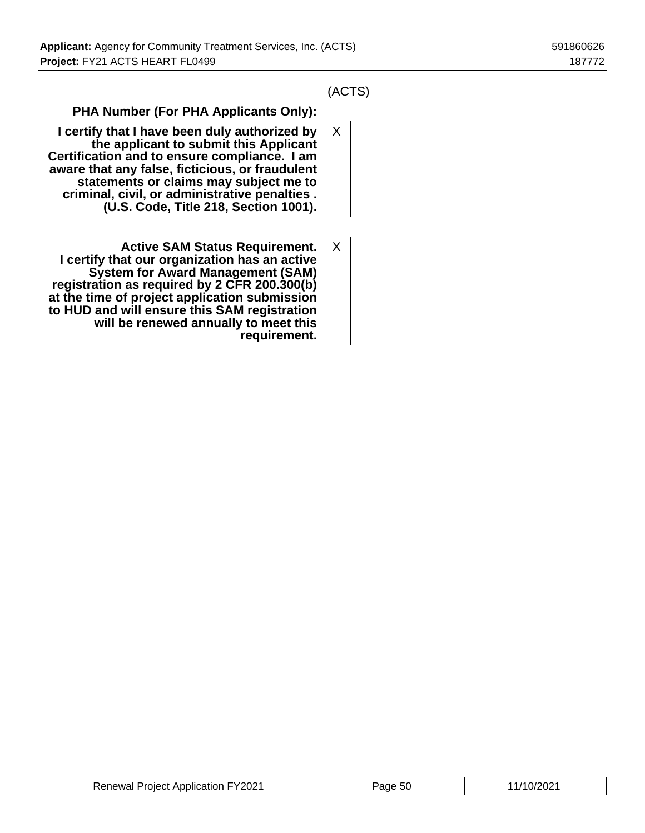(ACTS)

### **PHA Number (For PHA Applicants Only):**

- **I certify that I have been duly authorized by the applicant to submit this Applicant Certification and to ensure compliance. I am aware that any false, ficticious, or fraudulent statements or claims may subject me to criminal, civil, or administrative penalties . (U.S. Code, Title 218, Section 1001).** X
- **Active SAM Status Requirement. I certify that our organization has an active System for Award Management (SAM) registration as required by 2 CFR 200.300(b) at the time of project application submission to HUD and will ensure this SAM registration will be renewed annually to meet this requirement.** X

| <b>Renewal Project Application FY2021</b> | Page 50 | 11/10/2021 |
|-------------------------------------------|---------|------------|
|-------------------------------------------|---------|------------|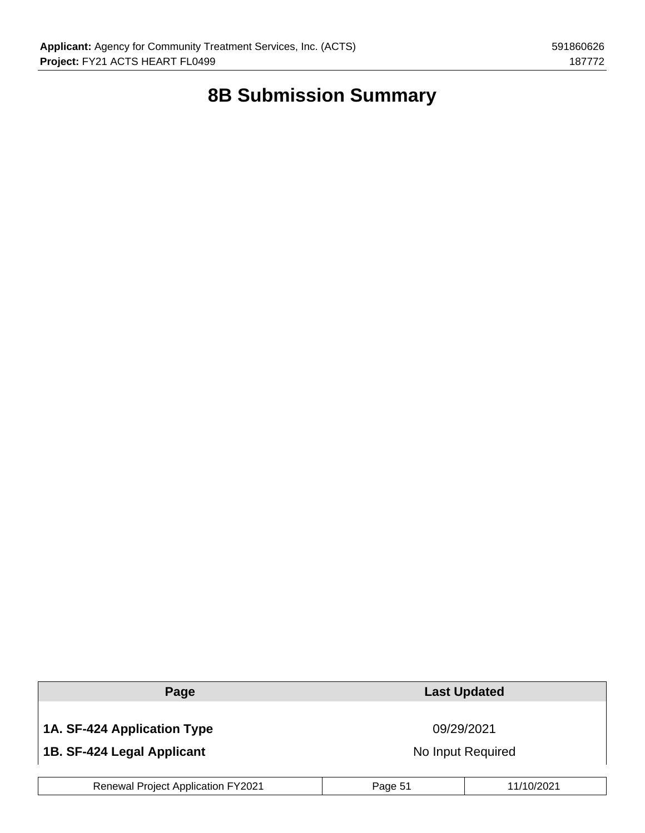# **8B Submission Summary**

| Page                                      |            | <b>Last Updated</b> |
|-------------------------------------------|------------|---------------------|
|                                           |            |                     |
| 1A. SF-424 Application Type               | 09/29/2021 |                     |
| 1B. SF-424 Legal Applicant                |            | No Input Required   |
|                                           |            |                     |
| <b>Renewal Project Application FY2021</b> | Page 51    | 11/10/2021          |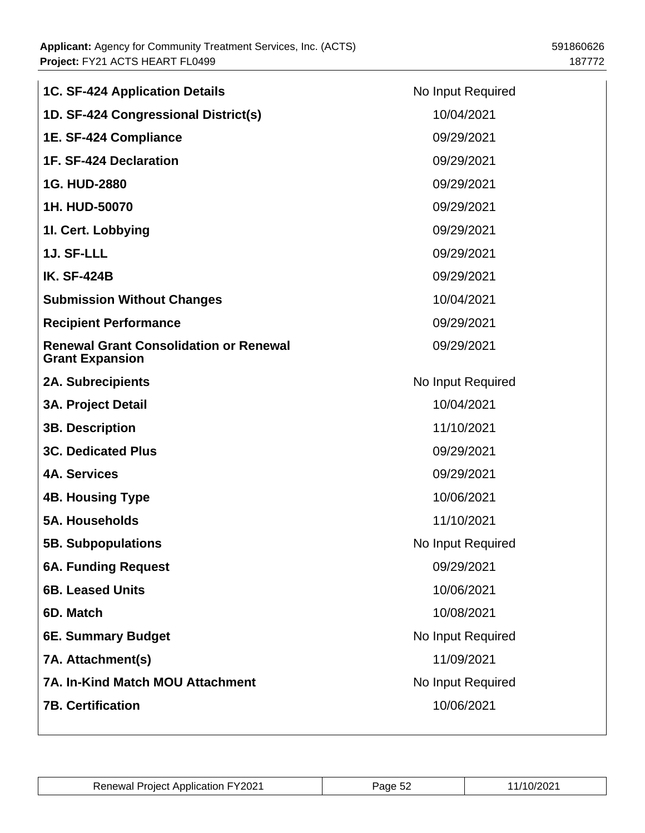| <b>1C. SF-424 Application Details</b>                                   | No Input Required |
|-------------------------------------------------------------------------|-------------------|
| 1D. SF-424 Congressional District(s)                                    | 10/04/2021        |
| 1E. SF-424 Compliance                                                   | 09/29/2021        |
| 1F. SF-424 Declaration                                                  | 09/29/2021        |
| 1G. HUD-2880                                                            | 09/29/2021        |
| 1H. HUD-50070                                                           | 09/29/2021        |
| 11. Cert. Lobbying                                                      | 09/29/2021        |
| 1J. SF-LLL                                                              | 09/29/2021        |
| <b>IK. SF-424B</b>                                                      | 09/29/2021        |
| <b>Submission Without Changes</b>                                       | 10/04/2021        |
| <b>Recipient Performance</b>                                            | 09/29/2021        |
| <b>Renewal Grant Consolidation or Renewal</b><br><b>Grant Expansion</b> | 09/29/2021        |
| 2A. Subrecipients                                                       | No Input Required |
| <b>3A. Project Detail</b>                                               | 10/04/2021        |
| <b>3B. Description</b>                                                  | 11/10/2021        |
| <b>3C. Dedicated Plus</b>                                               | 09/29/2021        |
| <b>4A. Services</b>                                                     | 09/29/2021        |
| <b>4B. Housing Type</b>                                                 | 10/06/2021        |
| <b>5A. Households</b>                                                   | 11/10/2021        |
| <b>5B. Subpopulations</b>                                               | No Input Required |
| <b>6A. Funding Request</b>                                              | 09/29/2021        |
| <b>6B. Leased Units</b>                                                 | 10/06/2021        |
| 6D. Match                                                               | 10/08/2021        |
| 6E. Summary Budget                                                      | No Input Required |
| 7A. Attachment(s)                                                       | 11/09/2021        |
| <b>7A. In-Kind Match MOU Attachment</b>                                 | No Input Required |
| <b>7B. Certification</b>                                                | 10/06/2021        |
|                                                                         |                   |

| FY202<br>ົາພລະ<br>. OIACT<br>ADDIICATION<br>. | - 11 P<br>. | $\sim$ $\sim$ $\sim$ $\sim$ $\sim$ $\sim$ |
|-----------------------------------------------|-------------|-------------------------------------------|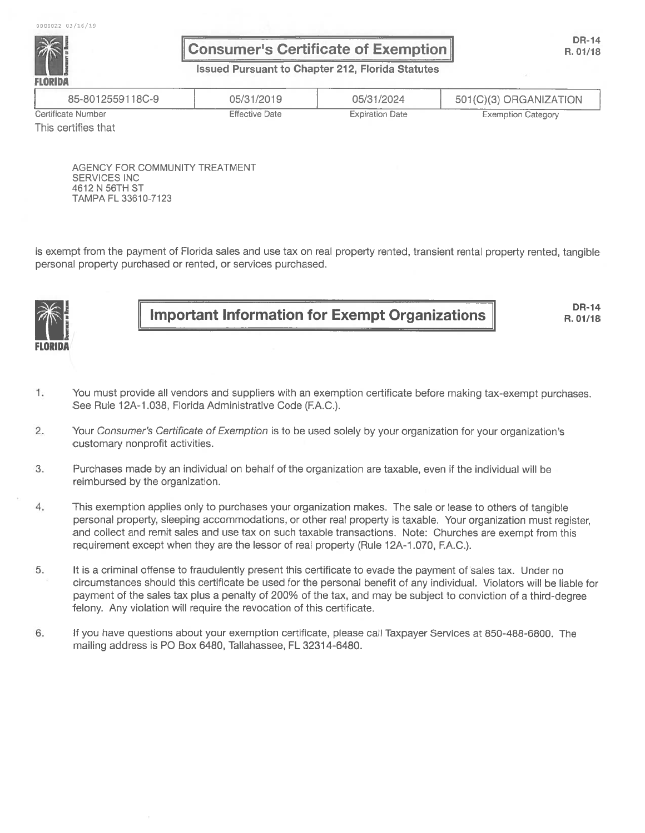0000022 03/16/19



### **Consumer's Certificate of Exemption**

 $DR-14$ R. 01/18

**Issued Pursuant to Chapter 212, Florida Statutes** 

| 85-8012559118C-9   | 05/31/2019            | 05/31/2024             | 501(C)(3) ORGANIZATION |
|--------------------|-----------------------|------------------------|------------------------|
| Certificate Number | <b>Effective Date</b> | <b>Expiration Date</b> | Exemption Category     |

This certifies that

AGENCY FOR COMMUNITY TREATMENT **SERVICES INC** 4612 N 56TH ST TAMPA FL 33610-7123

is exempt from the payment of Florida sales and use tax on real property rented, transient rental property rented, tangible personal property purchased or rented, or services purchased.



**Important Information for Exempt Organizations** 

**DR-14** R. 01/18

- $1.$ You must provide all vendors and suppliers with an exemption certificate before making tax-exempt purchases. See Rule 12A-1.038, Florida Administrative Code (F.A.C.).
- $2.$ Your Consumer's Certificate of Exemption is to be used solely by your organization for your organization's customary nonprofit activities.
- 3. Purchases made by an individual on behalf of the organization are taxable, even if the individual will be reimbursed by the organization.
- 4. This exemption applies only to purchases your organization makes. The sale or lease to others of tangible personal property, sleeping accommodations, or other real property is taxable. Your organization must register, and collect and remit sales and use tax on such taxable transactions. Note: Churches are exempt from this requirement except when they are the lessor of real property (Rule 12A-1.070, F.A.C.).
- 5. It is a criminal offense to fraudulently present this certificate to evade the payment of sales tax. Under no circumstances should this certificate be used for the personal benefit of any individual. Violators will be liable for payment of the sales tax plus a penalty of 200% of the tax, and may be subject to conviction of a third-degree felony. Any violation will require the revocation of this certificate.
- 6. If you have questions about your exemption certificate, please call Taxpayer Services at 850-488-6800. The mailing address is PO Box 6480, Tallahassee, FL 32314-6480.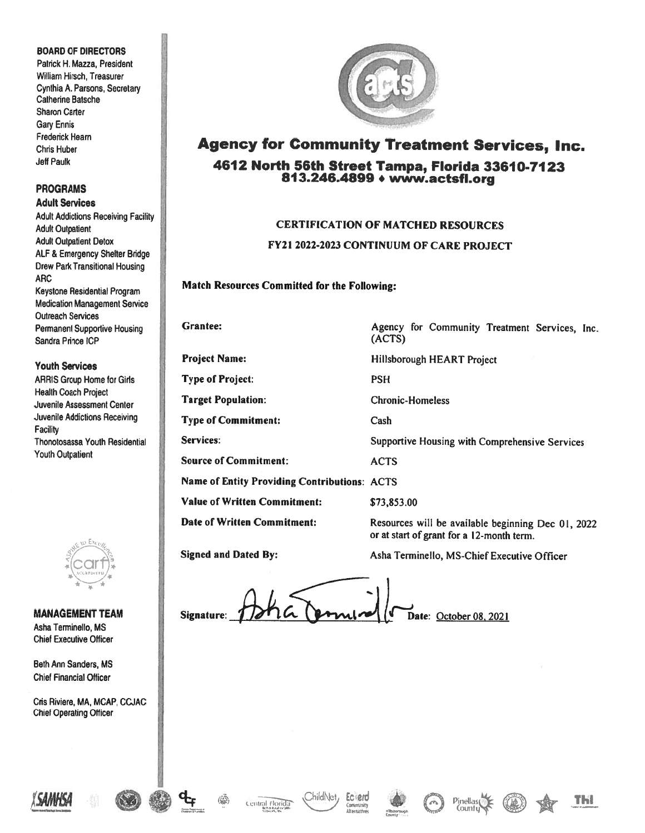#### **BOARD OF DIRECTORS**

Patrick H. Mazza, President William Hirsch, Treasurer Cynthia A. Parsons, Secretary **Catherine Batsche Sharon Carter Gary Ennis** Frederick Hearn **Chris Huber Jeff Paulk** 

### **PROGRAMS**

**Adult Services Adult Addictions Receiving Facility Adult Outpatient Adult Outpatient Detox** ALF & Emergency Shelter Bridge **Drew Park Transitional Housing ARC** Keystone Residential Program **Medication Management Service Outreach Services Permanent Supportive Housing** Sandra Prince ICP

**Youth Services ARRIS Group Home for Girls Health Coach Project** Juvenile Assessment Center **Juvenile Addictions Receiving** Facility Thonotosassa Youth Residential **Youth Outpatient** 



**MANAGEMENT TEAM** Asha Terminello, MS **Chief Executive Officer** 

Beth Ann Sanders, MS **Chief Financial Officer** 

Cris Riviere, MA, MCAP, CCJAC **Chief Operating Officer** 



### **Agency for Community Treatment Services, Inc.** 4612 North 56th Street Tampa, Florida 33610-7123 813.246.4899 + www.actsfl.org

### **CERTIFICATION OF MATCHED RESOURCES**

### FY21 2022-2023 CONTINUUM OF CARE PROJECT

#### Match Resources Committed for the Following:

| <b>Grantee:</b>                                     | Agency for Community Treatment Services, Inc.<br>(ACTS)                                         |
|-----------------------------------------------------|-------------------------------------------------------------------------------------------------|
| <b>Project Name:</b>                                | <b>Hillsborough HEART Project</b>                                                               |
| <b>Type of Project:</b>                             | <b>PSH</b>                                                                                      |
| <b>Target Population:</b>                           | <b>Chronic-Homeless</b>                                                                         |
| <b>Type of Commitment:</b>                          | Cash                                                                                            |
| <b>Services:</b>                                    | Supportive Housing with Comprehensive Services                                                  |
| <b>Source of Commitment:</b>                        | <b>ACTS</b>                                                                                     |
| <b>Name of Entity Providing Contributions: ACTS</b> |                                                                                                 |
| <b>Value of Written Commitment:</b>                 | \$73,853.00                                                                                     |
| <b>Date of Written Commitment:</b>                  | Resources will be available beginning Dec 01, 2022<br>or at start of grant for a 12-month term. |
| <b>Signed and Dated By:</b>                         | Asha Terminello, MS-Chief Executive Officer<br>- 18                                             |

Signature: Date: October 08, 2021













TKL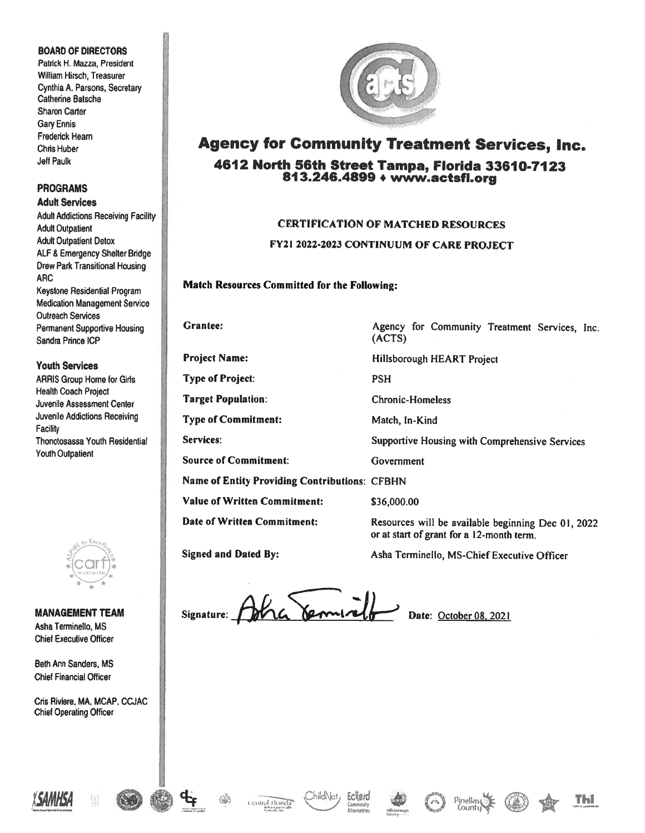#### **BOARD OF DIRECTORS**

Patrick H. Mazza, President William Hirsch, Treasurer Cynthia A. Parsons, Secretary **Catherine Batsche Sharon Carter Gary Ennis Frederick Hearn** Chris Huber **Jeff Paulk** 

#### **PROGRAMS**

**Adult Services Adult Addictions Receiving Facility Adult Outpatient Adult Outpatient Detox** ALF & Emergency Shelter Bridge **Drew Park Transitional Housing ARC** Keystone Residential Program **Medication Management Service** 

**Outreach Services Permanent Supportive Housing** Sandra Prince ICP

**Youth Services ARRIS Group Home for Girls Health Coach Project** Juvenile Assessment Center Juvenile Addictions Receiving Facility **Thonotosassa Youth Residential Youth Outpatient** 



**MANAGEMENT TEAM** Asha Terminello, MS **Chief Executive Officer** 

Beth Ann Sanders, MS **Chief Financial Officer** 

Cris Riviere, MA, MCAP, CCJAC **Chief Operating Officer** 



### **Agency for Community Treatment Services, Inc.** 4612 North 56th Street Tampa, Florida 33610-7123 813.246.4899 + www.actsfl.org

### **CERTIFICATION OF MATCHED RESOURCES** FY21 2022-2023 CONTINUUM OF CARE PROJECT

#### Match Resources Committed for the Following:

**Grantee:** Agency for Community Treatment Services, Inc. (ACTS) **Project Name: Hillsborough HEART Project Type of Project: PSH Target Population: Chronic-Homeless Type of Commitment:** Match, In-Kind Services: Supportive Housing with Comprehensive Services **Source of Commitment:** Government **Name of Entity Providing Contributions: CFBHN Value of Written Commitment:** \$36,000.00 **Date of Written Commitment:** Resources will be available beginning Dec 01, 2022 or at start of grant for a 12-month term.

**Signed and Dated By:** 

Asha Terminello, MS-Chief Executive Officer

tha remialt Signature:

Date: October 08, 2021













TKI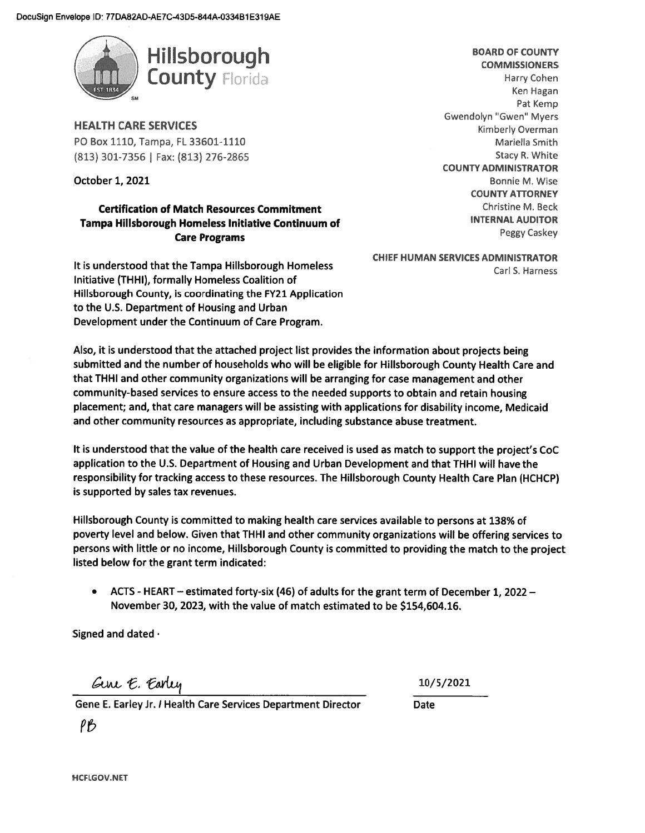

**HEALTH CARE SERVICES** PO Box 1110, Tampa, FL 33601-1110 (813) 301-7356 | Fax: (813) 276-2865

October 1, 2021

#### **Certification of Match Resources Commitment** Tampa Hillsborough Homeless Initiative Continuum of **Care Programs**

It is understood that the Tampa Hillsborough Homeless Initiative (THHI), formally Homeless Coalition of Hillsborough County, is coordinating the FY21 Application to the U.S. Department of Housing and Urban Development under the Continuum of Care Program.

**BOARD OF COUNTY COMMISSIONERS** Harry Cohen Ken Hagan Pat Kemp **Gwendolyn "Gwen" Myers** Kimberly Overman Mariella Smith **Stacy R. White COUNTY ADMINISTRATOR** Bonnie M. Wise **COUNTY ATTORNEY** Christine M. Beck **INTERNAL AUDITOR** Peggy Caskey

**CHIEF HUMAN SERVICES ADMINISTRATOR** Carl S. Harness

Also, it is understood that the attached project list provides the information about projects being submitted and the number of households who will be eligible for Hillsborough County Health Care and that THHI and other community organizations will be arranging for case management and other community-based services to ensure access to the needed supports to obtain and retain housing placement; and, that care managers will be assisting with applications for disability income, Medicaid and other community resources as appropriate, including substance abuse treatment.

It is understood that the value of the health care received is used as match to support the project's CoC application to the U.S. Department of Housing and Urban Development and that THHI will have the responsibility for tracking access to these resources. The Hillsborough County Health Care Plan (HCHCP) is supported by sales tax revenues.

Hillsborough County is committed to making health care services available to persons at 138% of poverty level and below. Given that THHI and other community organizations will be offering services to persons with little or no income, Hillsborough County is committed to providing the match to the project listed below for the grant term indicated:

ACTS - HEART - estimated forty-six (46) of adults for the grant term of December 1, 2022 -November 30, 2023, with the value of match estimated to be \$154,604.16.

Signed and dated  $\cdot$ 

Gene E. Earley

10/5/2021

Gene E. Earley Jr. / Health Care Services Department Director  $P_{\mathcal{D}}$ 

**Date**